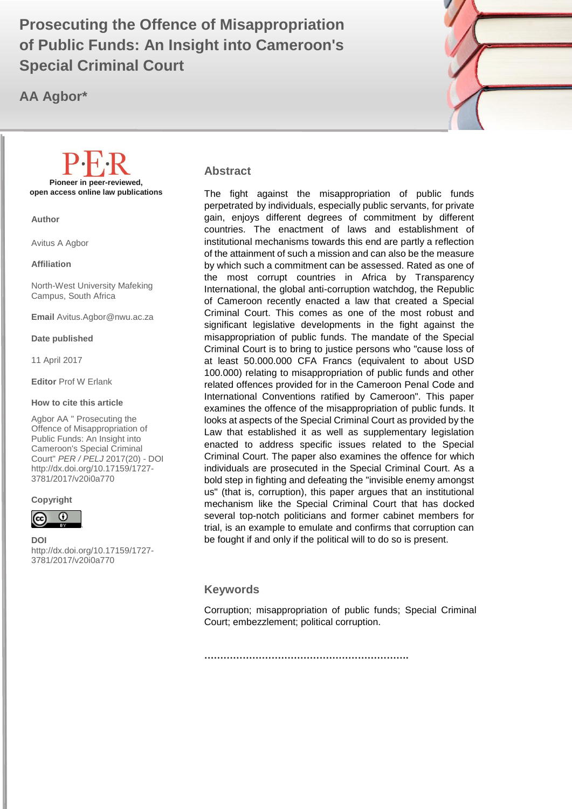# **of Public Funds: An Insight into Cameroon's WAPER 1999 Prosecuting the Offence of Misappropriation Special Criminal Court**

**AA Agbor\***



#### **Abstract**

The fight against the misappropriation of public funds perpetrated by individuals, especially public servants, for private gain, enjoys different degrees of commitment by different countries. The enactment of laws and establishment of institutional mechanisms towards this end are partly a reflection of the attainment of such a mission and can also be the measure by which such a commitment can be assessed. Rated as one of the most corrupt countries in Africa by Transparency International, the global anti-corruption watchdog, the Republic of Cameroon recently enacted a law that created a Special Criminal Court. This comes as one of the most robust and significant legislative developments in the fight against the misappropriation of public funds. The mandate of the Special Criminal Court is to bring to justice persons who "cause loss of at least 50.000.000 CFA Francs (equivalent to about USD 100.000) relating to misappropriation of public funds and other related offences provided for in the Cameroon Penal Code and International Conventions ratified by Cameroon". This paper examines the offence of the misappropriation of public funds. It looks at aspects of the Special Criminal Court as provided by the Law that established it as well as supplementary legislation enacted to address specific issues related to the Special Criminal Court. The paper also examines the offence for which individuals are prosecuted in the Special Criminal Court. As a bold step in fighting and defeating the "invisible enemy amongst us" (that is, corruption), this paper argues that an institutional mechanism like the Special Criminal Court that has docked several top-notch politicians and former cabinet members for trial, is an example to emulate and confirms that corruption can be fought if and only if the political will to do so is present.

#### **Keywords**

Corruption; misappropriation of public funds; Special Criminal Court; embezzlement; political corruption.

**Pioneer in peer-reviewed, open access online law publications**

**Author**

Avitus A Agbor

**Affiliation**

North-West University Mafeking Campus, South Africa

**Email** Avitus.Agbor@nwu.ac.za

**Date published**

11 April 2017

**Editor** Prof W Erlank

#### **How to cite this article**

Agbor AA " Prosecuting the Offence of Misappropriation of Public Funds: An Insight into Cameroon's Special Criminal Court" *PER / PELJ* 2017(20) - DOI http://dx.doi.org/10.17159/1727- 3781/2017/v20i0a[770](http://journals.assaf.org.za/index.php/per/editor/submission/1160) 

#### **Copyright**



**DOI**  http://dx.doi.org/10.17159/1727- 3781/2017/v20i0a[770](http://journals.assaf.org.za/index.php/per/editor/submission/1160)

.

**……………………………………………………….**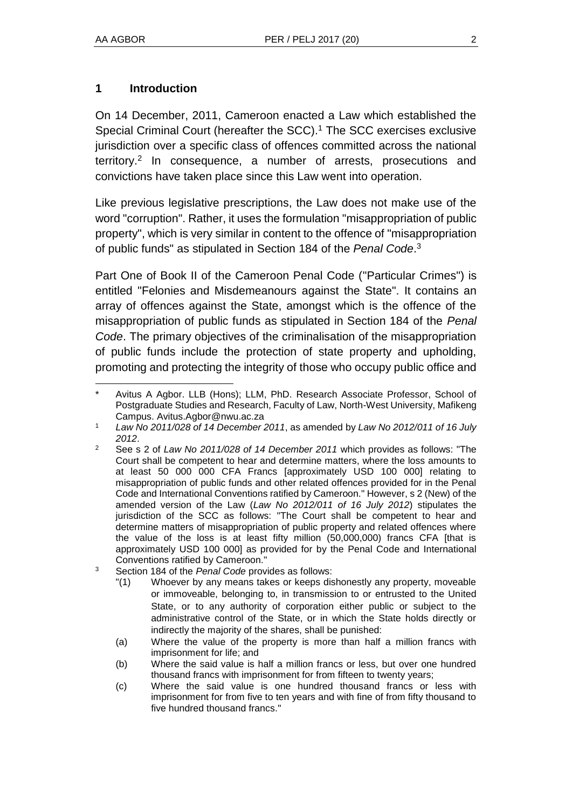#### **1 Introduction**

On 14 December, 2011, Cameroon enacted a Law which established the Special Criminal Court (hereafter the SCC).<sup>1</sup> The SCC exercises exclusive jurisdiction over a specific class of offences committed across the national territory.<sup>2</sup> In consequence, a number of arrests, prosecutions and convictions have taken place since this Law went into operation.

Like previous legislative prescriptions, the Law does not make use of the word "corruption". Rather, it uses the formulation "misappropriation of public property", which is very similar in content to the offence of "misappropriation of public funds" as stipulated in Section 184 of the *Penal Code*. 3

Part One of Book II of the Cameroon Penal Code ("Particular Crimes") is entitled "Felonies and Misdemeanours against the State". It contains an array of offences against the State, amongst which is the offence of the misappropriation of public funds as stipulated in Section 184 of the *Penal Code*. The primary objectives of the criminalisation of the misappropriation of public funds include the protection of state property and upholding, promoting and protecting the integrity of those who occupy public office and

l Avitus A Agbor. LLB (Hons); LLM, PhD. Research Associate Professor, School of Postgraduate Studies and Research, Faculty of Law, North-West University, Mafikeng Campus. Avitus.Agbor@nwu.ac.za

<sup>1</sup> *Law No 2011/028 of 14 December 2011*, as amended by *Law No 2012/011 of 16 July 2012*.

<sup>2</sup> See s 2 of *Law No 2011/028 of 14 December 2011* which provides as follows: "The Court shall be competent to hear and determine matters, where the loss amounts to at least 50 000 000 CFA Francs [approximately USD 100 000] relating to misappropriation of public funds and other related offences provided for in the Penal Code and International Conventions ratified by Cameroon." However, s 2 (New) of the amended version of the Law (*Law No 2012/011 of 16 July 2012*) stipulates the jurisdiction of the SCC as follows: "The Court shall be competent to hear and determine matters of misappropriation of public property and related offences where the value of the loss is at least fifty million (50,000,000) francs CFA [that is approximately USD 100 000] as provided for by the Penal Code and International Conventions ratified by Cameroon."

<sup>3</sup> Section 184 of the *Penal Code* provides as follows:

<sup>&</sup>quot;(1) Whoever by any means takes or keeps dishonestly any property, moveable or immoveable, belonging to, in transmission to or entrusted to the United State, or to any authority of corporation either public or subject to the administrative control of the State, or in which the State holds directly or indirectly the majority of the shares, shall be punished:

<sup>(</sup>a) Where the value of the property is more than half a million francs with imprisonment for life; and

<sup>(</sup>b) Where the said value is half a million francs or less, but over one hundred thousand francs with imprisonment for from fifteen to twenty years;

<sup>(</sup>c) Where the said value is one hundred thousand francs or less with imprisonment for from five to ten years and with fine of from fifty thousand to five hundred thousand francs."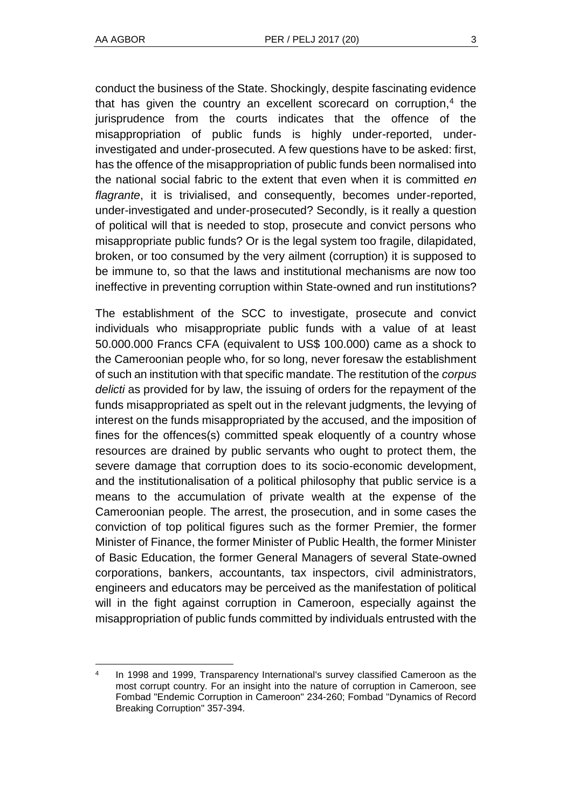l

conduct the business of the State. Shockingly, despite fascinating evidence that has given the country an excellent scorecard on corruption, $4$  the jurisprudence from the courts indicates that the offence of the misappropriation of public funds is highly under-reported, underinvestigated and under-prosecuted. A few questions have to be asked: first, has the offence of the misappropriation of public funds been normalised into the national social fabric to the extent that even when it is committed *en flagrante*, it is trivialised, and consequently, becomes under-reported, under-investigated and under-prosecuted? Secondly, is it really a question of political will that is needed to stop, prosecute and convict persons who misappropriate public funds? Or is the legal system too fragile, dilapidated, broken, or too consumed by the very ailment (corruption) it is supposed to be immune to, so that the laws and institutional mechanisms are now too ineffective in preventing corruption within State-owned and run institutions?

The establishment of the SCC to investigate, prosecute and convict individuals who misappropriate public funds with a value of at least 50.000.000 Francs CFA (equivalent to US\$ 100.000) came as a shock to the Cameroonian people who, for so long, never foresaw the establishment of such an institution with that specific mandate. The restitution of the *corpus delicti* as provided for by law, the issuing of orders for the repayment of the funds misappropriated as spelt out in the relevant judgments, the levying of interest on the funds misappropriated by the accused, and the imposition of fines for the offences(s) committed speak eloquently of a country whose resources are drained by public servants who ought to protect them, the severe damage that corruption does to its socio-economic development, and the institutionalisation of a political philosophy that public service is a means to the accumulation of private wealth at the expense of the Cameroonian people. The arrest, the prosecution, and in some cases the conviction of top political figures such as the former Premier, the former Minister of Finance, the former Minister of Public Health, the former Minister of Basic Education, the former General Managers of several State-owned corporations, bankers, accountants, tax inspectors, civil administrators, engineers and educators may be perceived as the manifestation of political will in the fight against corruption in Cameroon, especially against the misappropriation of public funds committed by individuals entrusted with the

<sup>4</sup> In 1998 and 1999, Transparency International's survey classified Cameroon as the most corrupt country. For an insight into the nature of corruption in Cameroon, see Fombad "Endemic Corruption in Cameroon" 234-260; Fombad "Dynamics of Record Breaking Corruption" 357-394.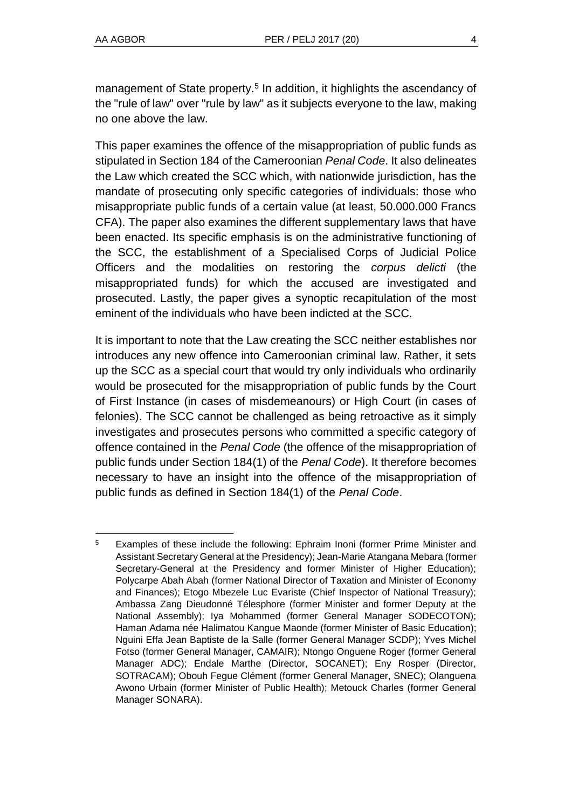management of State property.<sup>5</sup> In addition, it highlights the ascendancy of the "rule of law" over "rule by law" as it subjects everyone to the law, making no one above the law.

This paper examines the offence of the misappropriation of public funds as stipulated in Section 184 of the Cameroonian *Penal Code*. It also delineates the Law which created the SCC which, with nationwide jurisdiction, has the mandate of prosecuting only specific categories of individuals: those who misappropriate public funds of a certain value (at least, 50.000.000 Francs CFA). The paper also examines the different supplementary laws that have been enacted. Its specific emphasis is on the administrative functioning of the SCC, the establishment of a Specialised Corps of Judicial Police Officers and the modalities on restoring the *corpus delicti* (the misappropriated funds) for which the accused are investigated and prosecuted. Lastly, the paper gives a synoptic recapitulation of the most eminent of the individuals who have been indicted at the SCC.

It is important to note that the Law creating the SCC neither establishes nor introduces any new offence into Cameroonian criminal law. Rather, it sets up the SCC as a special court that would try only individuals who ordinarily would be prosecuted for the misappropriation of public funds by the Court of First Instance (in cases of misdemeanours) or High Court (in cases of felonies). The SCC cannot be challenged as being retroactive as it simply investigates and prosecutes persons who committed a specific category of offence contained in the *Penal Code* (the offence of the misappropriation of public funds under Section 184(1) of the *Penal Code*). It therefore becomes necessary to have an insight into the offence of the misappropriation of public funds as defined in Section 184(1) of the *Penal Code*.

l <sup>5</sup> Examples of these include the following: Ephraim Inoni (former Prime Minister and Assistant Secretary General at the Presidency); Jean-Marie Atangana Mebara (former Secretary-General at the Presidency and former Minister of Higher Education); Polycarpe Abah Abah (former National Director of Taxation and Minister of Economy and Finances); Etogo Mbezele Luc Evariste (Chief Inspector of National Treasury); Ambassa Zang Dieudonné Télesphore (former Minister and former Deputy at the National Assembly); Iya Mohammed (former General Manager SODECOTON); Haman Adama née Halimatou Kangue Maonde (former Minister of Basic Education); Nguini Effa Jean Baptiste de la Salle (former General Manager SCDP); Yves Michel Fotso (former General Manager, CAMAIR); Ntongo Onguene Roger (former General Manager ADC); Endale Marthe (Director, SOCANET); Eny Rosper (Director, SOTRACAM); Obouh Fegue Clément (former General Manager, SNEC); Olanguena Awono Urbain (former Minister of Public Health); Metouck Charles (former General Manager SONARA).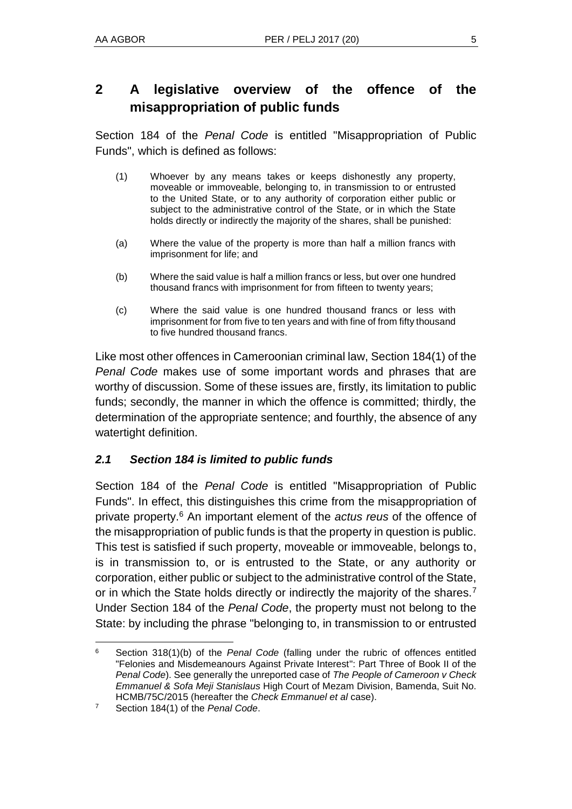## **2 A legislative overview of the offence of the misappropriation of public funds**

Section 184 of the *Penal Code* is entitled "Misappropriation of Public Funds", which is defined as follows:

- (1) Whoever by any means takes or keeps dishonestly any property, moveable or immoveable, belonging to, in transmission to or entrusted to the United State, or to any authority of corporation either public or subject to the administrative control of the State, or in which the State holds directly or indirectly the majority of the shares, shall be punished:
- (a) Where the value of the property is more than half a million francs with imprisonment for life; and
- (b) Where the said value is half a million francs or less, but over one hundred thousand francs with imprisonment for from fifteen to twenty years;
- (c) Where the said value is one hundred thousand francs or less with imprisonment for from five to ten years and with fine of from fifty thousand to five hundred thousand francs.

Like most other offences in Cameroonian criminal law, Section 184(1) of the *Penal Code* makes use of some important words and phrases that are worthy of discussion. Some of these issues are, firstly, its limitation to public funds; secondly, the manner in which the offence is committed; thirdly, the determination of the appropriate sentence; and fourthly, the absence of any watertight definition.

## *2.1 Section 184 is limited to public funds*

Section 184 of the *Penal Code* is entitled "Misappropriation of Public Funds". In effect, this distinguishes this crime from the misappropriation of private property.<sup>6</sup> An important element of the *actus reus* of the offence of the misappropriation of public funds is that the property in question is public. This test is satisfied if such property, moveable or immoveable, belongs to, is in transmission to, or is entrusted to the State, or any authority or corporation, either public or subject to the administrative control of the State, or in which the State holds directly or indirectly the majority of the shares.<sup>7</sup> Under Section 184 of the *Penal Code*, the property must not belong to the State: by including the phrase "belonging to, in transmission to or entrusted

l

<sup>6</sup> Section 318(1)(b) of the *Penal Code* (falling under the rubric of offences entitled "Felonies and Misdemeanours Against Private Interest": Part Three of Book II of the *Penal Code*). See generally the unreported case of *The People of Cameroon v Check Emmanuel & Sofa Meji Stanislaus* High Court of Mezam Division, Bamenda, Suit No. HCMB/75C/2015 (hereafter the *Check Emmanuel et al* case).

<sup>7</sup> Section 184(1) of the *Penal Code*.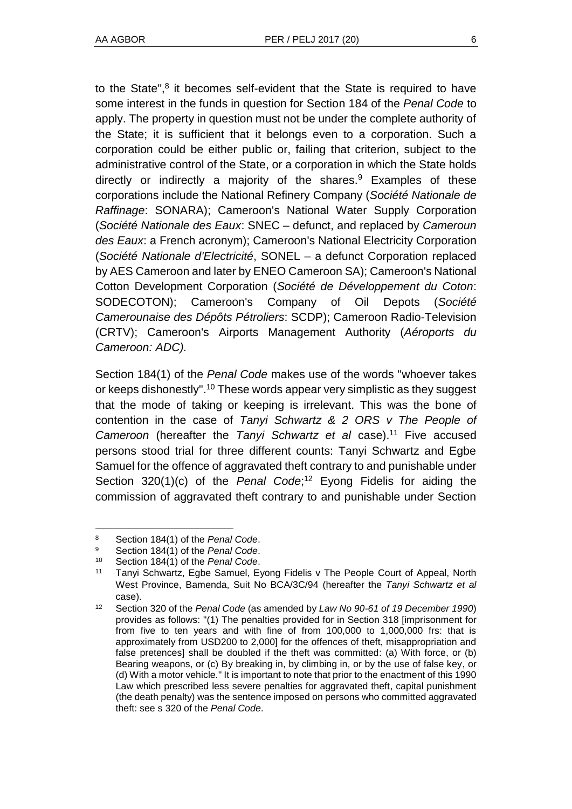to the State", $8$  it becomes self-evident that the State is required to have some interest in the funds in question for Section 184 of the *Penal Code* to apply. The property in question must not be under the complete authority of the State; it is sufficient that it belongs even to a corporation. Such a corporation could be either public or, failing that criterion, subject to the administrative control of the State, or a corporation in which the State holds directly or indirectly a majority of the shares.<sup>9</sup> Examples of these corporations include the National Refinery Company (*Société Nationale de Raffinage*: SONARA); Cameroon's National Water Supply Corporation (*Société Nationale des Eaux*: SNEC – defunct, and replaced by *Cameroun des Eaux*: a French acronym); Cameroon's National Electricity Corporation (*Société Nationale d'Electricité*, SONEL – a defunct Corporation replaced by AES Cameroon and later by ENEO Cameroon SA); Cameroon's National Cotton Development Corporation (*Société de Développement du Coton*: SODECOTON); Cameroon's Company of Oil Depots (*Société Camerounaise des Dépôts Pétroliers*: SCDP); Cameroon Radio-Television (CRTV); Cameroon's Airports Management Authority (*Aéroports du Cameroon: ADC).*

Section 184(1) of the *Penal Code* makes use of the words "whoever takes or keeps dishonestly".<sup>10</sup> These words appear very simplistic as they suggest that the mode of taking or keeping is irrelevant. This was the bone of contention in the case of *Tanyi Schwartz & 2 ORS v The People of Cameroon* (hereafter the *Tanyi Schwartz et al* case).<sup>11</sup> Five accused persons stood trial for three different counts: Tanyi Schwartz and Egbe Samuel for the offence of aggravated theft contrary to and punishable under Section 320(1)(c) of the *Penal Code*; <sup>12</sup> Eyong Fidelis for aiding the commission of aggravated theft contrary to and punishable under Section

 $\overline{a}$ 

<sup>8</sup> Section 184(1) of the *Penal Code*.

<sup>9</sup> Section 184(1) of the *Penal Code*.

Section 184(1) of the Penal Code.

<sup>11</sup> Tanyi Schwartz, Egbe Samuel, Eyong Fidelis v The People Court of Appeal, North West Province, Bamenda, Suit No BCA/3C/94 (hereafter the *Tanyi Schwartz et al*  case).

<sup>12</sup> Section 320 of the *Penal Code* (as amended by *Law No 90-61 of 19 December 1990*) provides as follows: "(1) The penalties provided for in Section 318 [imprisonment for from five to ten years and with fine of from 100,000 to 1,000,000 frs: that is approximately from USD200 to 2,000] for the offences of theft, misappropriation and false pretences] shall be doubled if the theft was committed: (a) With force, or (b) Bearing weapons, or (c) By breaking in, by climbing in, or by the use of false key, or (d) With a motor vehicle." It is important to note that prior to the enactment of this 1990 Law which prescribed less severe penalties for aggravated theft, capital punishment (the death penalty) was the sentence imposed on persons who committed aggravated theft: see s 320 of the *Penal Code*.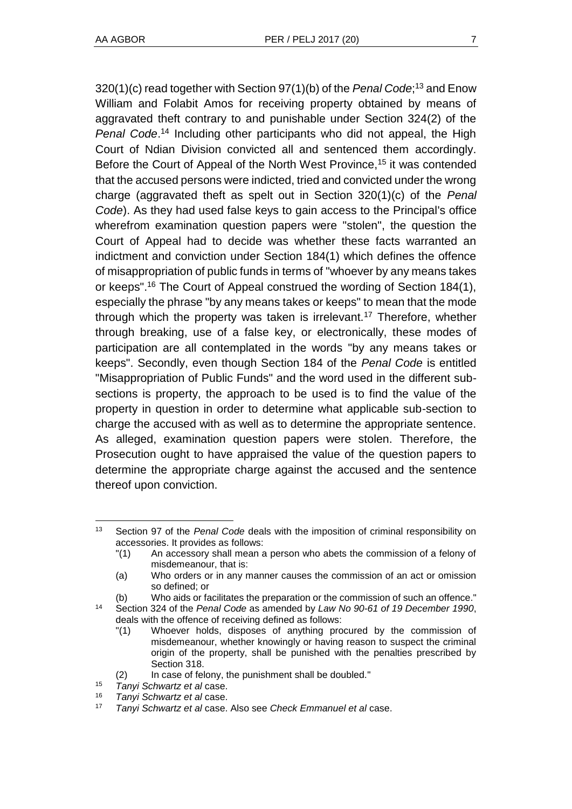320(1)(c) read together with Section 97(1)(b) of the *Penal Code*; <sup>13</sup> and Enow William and Folabit Amos for receiving property obtained by means of aggravated theft contrary to and punishable under Section 324(2) of the *Penal Code*. <sup>14</sup> Including other participants who did not appeal, the High Court of Ndian Division convicted all and sentenced them accordingly. Before the Court of Appeal of the North West Province,<sup>15</sup> it was contended that the accused persons were indicted, tried and convicted under the wrong charge (aggravated theft as spelt out in Section 320(1)(c) of the *Penal Code*). As they had used false keys to gain access to the Principal's office wherefrom examination question papers were "stolen", the question the Court of Appeal had to decide was whether these facts warranted an indictment and conviction under Section 184(1) which defines the offence of misappropriation of public funds in terms of "whoever by any means takes or keeps". <sup>16</sup> The Court of Appeal construed the wording of Section 184(1), especially the phrase "by any means takes or keeps" to mean that the mode through which the property was taken is irrelevant.<sup>17</sup> Therefore, whether through breaking, use of a false key, or electronically, these modes of participation are all contemplated in the words "by any means takes or keeps". Secondly, even though Section 184 of the *Penal Code* is entitled "Misappropriation of Public Funds" and the word used in the different subsections is property, the approach to be used is to find the value of the property in question in order to determine what applicable sub-section to charge the accused with as well as to determine the appropriate sentence. As alleged, examination question papers were stolen. Therefore, the Prosecution ought to have appraised the value of the question papers to determine the appropriate charge against the accused and the sentence thereof upon conviction.

l

<sup>13</sup> Section 97 of the *Penal Code* deals with the imposition of criminal responsibility on accessories. It provides as follows:

<sup>&</sup>quot;(1) An accessory shall mean a person who abets the commission of a felony of misdemeanour, that is:

<sup>(</sup>a) Who orders or in any manner causes the commission of an act or omission so defined; or

<sup>(</sup>b) Who aids or facilitates the preparation or the commission of such an offence." <sup>14</sup> Section 324 of the *Penal Code* as amended by *Law No 90-61 of 19 December 1990*, deals with the offence of receiving defined as follows:

<sup>&</sup>quot;(1) Whoever holds, disposes of anything procured by the commission of misdemeanour, whether knowingly or having reason to suspect the criminal origin of the property, shall be punished with the penalties prescribed by Section 318.

<sup>(2)</sup> In case of felony, the punishment shall be doubled."

<sup>15</sup> *Tanyi Schwartz et al* case.

<sup>16</sup> *Tanyi Schwartz et al* case.

<sup>17</sup> *Tanyi Schwartz et al* case. Also see *Check Emmanuel et al* case.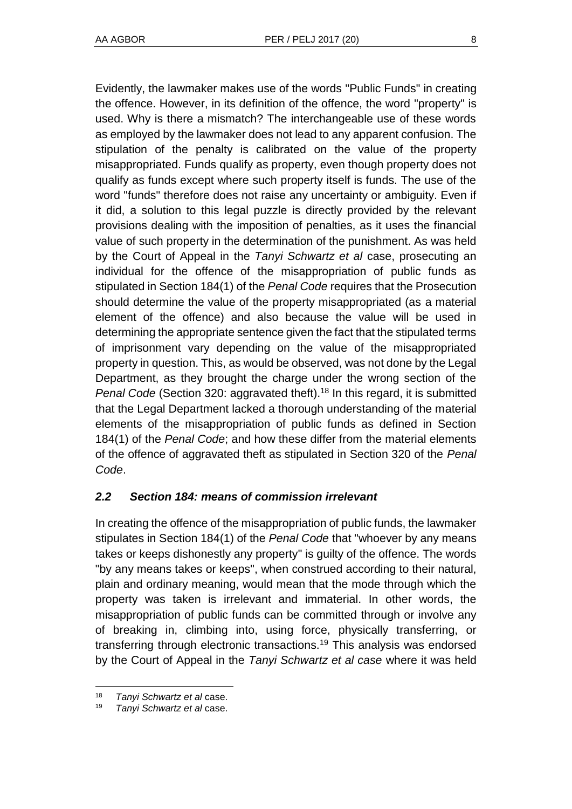Evidently, the lawmaker makes use of the words "Public Funds" in creating the offence. However, in its definition of the offence, the word "property" is used. Why is there a mismatch? The interchangeable use of these words as employed by the lawmaker does not lead to any apparent confusion. The stipulation of the penalty is calibrated on the value of the property misappropriated. Funds qualify as property, even though property does not qualify as funds except where such property itself is funds. The use of the word "funds" therefore does not raise any uncertainty or ambiguity. Even if it did, a solution to this legal puzzle is directly provided by the relevant provisions dealing with the imposition of penalties, as it uses the financial value of such property in the determination of the punishment. As was held by the Court of Appeal in the *Tanyi Schwartz et al* case, prosecuting an individual for the offence of the misappropriation of public funds as stipulated in Section 184(1) of the *Penal Code* requires that the Prosecution should determine the value of the property misappropriated (as a material element of the offence) and also because the value will be used in determining the appropriate sentence given the fact that the stipulated terms of imprisonment vary depending on the value of the misappropriated property in question. This, as would be observed, was not done by the Legal Department, as they brought the charge under the wrong section of the *Penal Code* (Section 320: aggravated theft).<sup>18</sup> In this regard, it is submitted that the Legal Department lacked a thorough understanding of the material elements of the misappropriation of public funds as defined in Section 184(1) of the *Penal Code*; and how these differ from the material elements of the offence of aggravated theft as stipulated in Section 320 of the *Penal Code*.

## *2.2 Section 184: means of commission irrelevant*

In creating the offence of the misappropriation of public funds, the lawmaker stipulates in Section 184(1) of the *Penal Code* that "whoever by any means takes or keeps dishonestly any property" is guilty of the offence. The words "by any means takes or keeps", when construed according to their natural, plain and ordinary meaning, would mean that the mode through which the property was taken is irrelevant and immaterial. In other words, the misappropriation of public funds can be committed through or involve any of breaking in, climbing into, using force, physically transferring, or transferring through electronic transactions.<sup>19</sup> This analysis was endorsed by the Court of Appeal in the *Tanyi Schwartz et al case* where it was held

l

<sup>18</sup> *Tanyi Schwartz et al* case.

<sup>19</sup> *Tanyi Schwartz et al* case.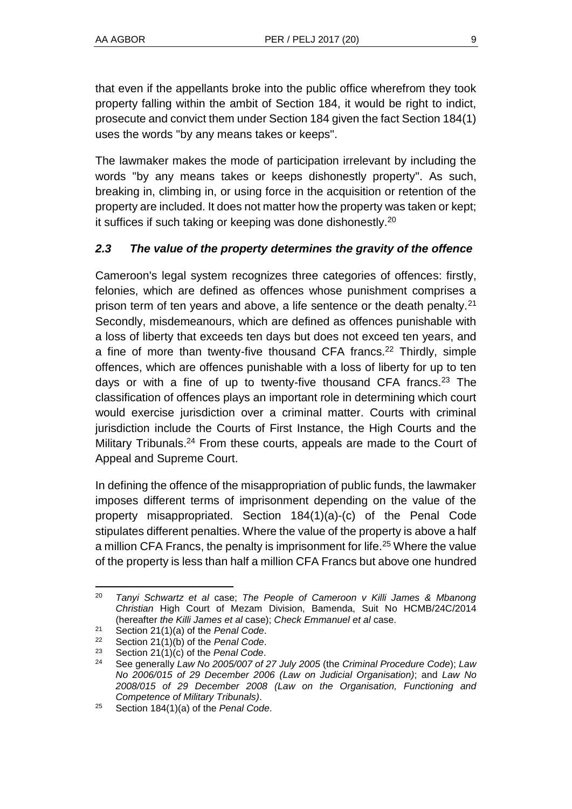that even if the appellants broke into the public office wherefrom they took property falling within the ambit of Section 184, it would be right to indict, prosecute and convict them under Section 184 given the fact Section 184(1) uses the words "by any means takes or keeps".

The lawmaker makes the mode of participation irrelevant by including the words "by any means takes or keeps dishonestly property". As such, breaking in, climbing in, or using force in the acquisition or retention of the property are included. It does not matter how the property was taken or kept; it suffices if such taking or keeping was done dishonestly.<sup>20</sup>

## *2.3 The value of the property determines the gravity of the offence*

Cameroon's legal system recognizes three categories of offences: firstly, felonies, which are defined as offences whose punishment comprises a prison term of ten years and above, a life sentence or the death penalty.<sup>21</sup> Secondly, misdemeanours, which are defined as offences punishable with a loss of liberty that exceeds ten days but does not exceed ten years, and a fine of more than twenty-five thousand CFA francs.<sup>22</sup> Thirdly, simple offences, which are offences punishable with a loss of liberty for up to ten days or with a fine of up to twenty-five thousand CFA francs.<sup>23</sup> The classification of offences plays an important role in determining which court would exercise jurisdiction over a criminal matter. Courts with criminal jurisdiction include the Courts of First Instance, the High Courts and the Military Tribunals.<sup>24</sup> From these courts, appeals are made to the Court of Appeal and Supreme Court.

In defining the offence of the misappropriation of public funds, the lawmaker imposes different terms of imprisonment depending on the value of the property misappropriated. Section 184(1)(a)-(c) of the Penal Code stipulates different penalties. Where the value of the property is above a half a million CFA Francs, the penalty is imprisonment for life.<sup>25</sup> Where the value of the property is less than half a million CFA Francs but above one hundred

l <sup>20</sup> *Tanyi Schwartz et al* case; *The People of Cameroon v Killi James & Mbanong Christian* High Court of Mezam Division, Bamenda, Suit No HCMB/24C/2014 (hereafter *the Killi James et al* case); *Check Emmanuel et al* case.

<sup>21</sup> Section 21(1)(a) of the *Penal Code*.

<sup>22</sup> Section 21(1)(b) of the *Penal Code*.

<sup>23</sup> Section 21(1)(c) of the *Penal Code*.

<sup>24</sup> See generally *Law No 2005/007 of 27 July 2005* (the *Criminal Procedure Code*); *Law No 2006/015 of 29 December 2006 (Law on Judicial Organisation)*; and *Law No 2008/015 of 29 December 2008 (Law on the Organisation, Functioning and Competence of Military Tribunals)*.

<sup>25</sup> Section 184(1)(a) of the *Penal Code*.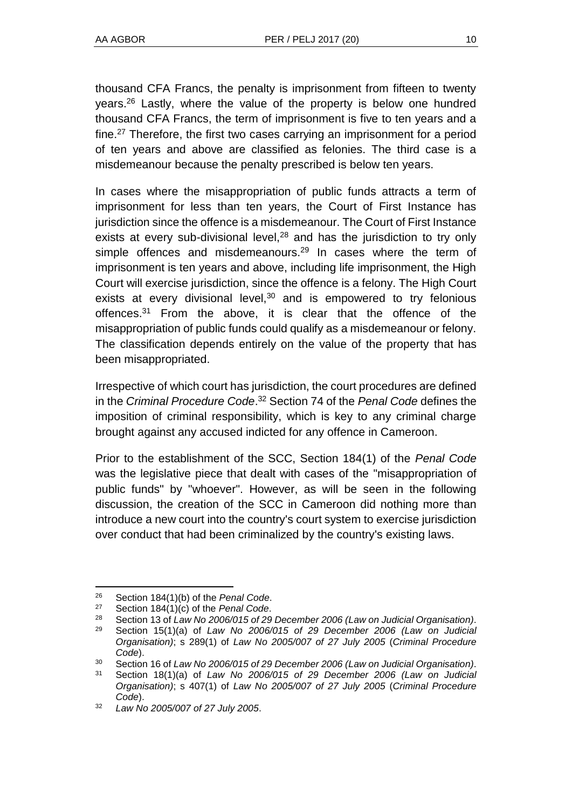thousand CFA Francs, the penalty is imprisonment from fifteen to twenty years.<sup>26</sup> Lastly, where the value of the property is below one hundred thousand CFA Francs, the term of imprisonment is five to ten years and a fine.<sup>27</sup> Therefore, the first two cases carrying an imprisonment for a period of ten years and above are classified as felonies. The third case is a misdemeanour because the penalty prescribed is below ten years.

In cases where the misappropriation of public funds attracts a term of imprisonment for less than ten years, the Court of First Instance has jurisdiction since the offence is a misdemeanour. The Court of First Instance exists at every sub-divisional level, $28$  and has the jurisdiction to try only simple offences and misdemeanours. $29$  In cases where the term of imprisonment is ten years and above, including life imprisonment, the High Court will exercise jurisdiction, since the offence is a felony. The High Court exists at every divisional level, $30$  and is empowered to try felonious offences. <sup>31</sup> From the above, it is clear that the offence of the misappropriation of public funds could qualify as a misdemeanour or felony. The classification depends entirely on the value of the property that has been misappropriated.

Irrespective of which court has jurisdiction, the court procedures are defined in the *Criminal Procedure Code*. <sup>32</sup> Section 74 of the *Penal Code* defines the imposition of criminal responsibility, which is key to any criminal charge brought against any accused indicted for any offence in Cameroon.

Prior to the establishment of the SCC, Section 184(1) of the *Penal Code* was the legislative piece that dealt with cases of the "misappropriation of public funds" by "whoever". However, as will be seen in the following discussion, the creation of the SCC in Cameroon did nothing more than introduce a new court into the country's court system to exercise jurisdiction over conduct that had been criminalized by the country's existing laws.

l

<sup>26</sup> Section 184(1)(b) of the *Penal Code*.

Section 184(1)(c) of the *Penal Code*.

<sup>28</sup> Section 13 of *Law No 2006/015 of 29 December 2006 (Law on Judicial Organisation)*.

<sup>29</sup> Section 15(1)(a) of *Law No 2006/015 of 29 December 2006 (Law on Judicial Organisation)*; s 289(1) of *Law No 2005/007 of 27 July 2005* (*Criminal Procedure Code*).

<sup>30</sup> Section 16 of *Law No 2006/015 of 29 December 2006 (Law on Judicial Organisation)*.

<sup>31</sup> Section 18(1)(a) of *Law No 2006/015 of 29 December 2006 (Law on Judicial Organisation)*; s 407(1) of *Law No 2005/007 of 27 July 2005* (*Criminal Procedure Code*).

<sup>32</sup> *Law No 2005/007 of 27 July 2005*.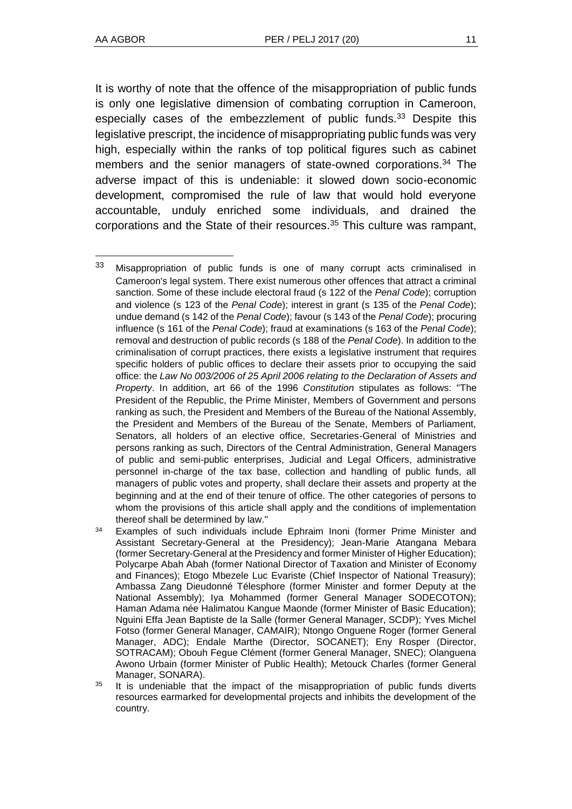l

It is worthy of note that the offence of the misappropriation of public funds is only one legislative dimension of combating corruption in Cameroon, especially cases of the embezzlement of public funds.<sup>33</sup> Despite this legislative prescript, the incidence of misappropriating public funds was very high, especially within the ranks of top political figures such as cabinet members and the senior managers of state-owned corporations.<sup>34</sup> The adverse impact of this is undeniable: it slowed down socio-economic development, compromised the rule of law that would hold everyone accountable, unduly enriched some individuals, and drained the corporations and the State of their resources.<sup>35</sup> This culture was rampant,

 $34$  Examples of such individuals include Ephraim Inoni (former Prime Minister and Assistant Secretary-General at the Presidency); Jean-Marie Atangana Mebara (former Secretary-General at the Presidency and former Minister of Higher Education); Polycarpe Abah Abah (former National Director of Taxation and Minister of Economy and Finances); Etogo Mbezele Luc Evariste (Chief Inspector of National Treasury); Ambassa Zang Dieudonné Télesphore (former Minister and former Deputy at the National Assembly); Iya Mohammed (former General Manager SODECOTON); Haman Adama née Halimatou Kangue Maonde (former Minister of Basic Education); Nguini Effa Jean Baptiste de la Salle (former General Manager, SCDP); Yves Michel Fotso (former General Manager, CAMAIR); Ntongo Onguene Roger (former General Manager, ADC); Endale Marthe (Director, SOCANET); Eny Rosper (Director, SOTRACAM); Obouh Fegue Clément (former General Manager, SNEC); Olanguena Awono Urbain (former Minister of Public Health); Metouck Charles (former General Manager, SONARA).

<sup>35</sup> It is undeniable that the impact of the misappropriation of public funds diverts resources earmarked for developmental projects and inhibits the development of the country.

<sup>33</sup> Misappropriation of public funds is one of many corrupt acts criminalised in Cameroon's legal system. There exist numerous other offences that attract a criminal sanction. Some of these include electoral fraud (s 122 of the *Penal Code*); corruption and violence (s 123 of the *Penal Code*); interest in grant (s 135 of the *Penal Code*); undue demand (s 142 of the *Penal Code*); favour (s 143 of the *Penal Code*); procuring influence (s 161 of the *Penal Code*); fraud at examinations (s 163 of the *Penal Code*); removal and destruction of public records (s 188 of the *Penal Code*). In addition to the criminalisation of corrupt practices, there exists a legislative instrument that requires specific holders of public offices to declare their assets prior to occupying the said office: the *Law No 003/2006 of 25 April 2006 relating to the Declaration of Assets and Property*. In addition, art 66 of the 1996 *Constitution* stipulates as follows: "The President of the Republic, the Prime Minister, Members of Government and persons ranking as such, the President and Members of the Bureau of the National Assembly, the President and Members of the Bureau of the Senate, Members of Parliament, Senators, all holders of an elective office, Secretaries-General of Ministries and persons ranking as such, Directors of the Central Administration, General Managers of public and semi-public enterprises, Judicial and Legal Officers, administrative personnel in-charge of the tax base, collection and handling of public funds, all managers of public votes and property, shall declare their assets and property at the beginning and at the end of their tenure of office. The other categories of persons to whom the provisions of this article shall apply and the conditions of implementation thereof shall be determined by law."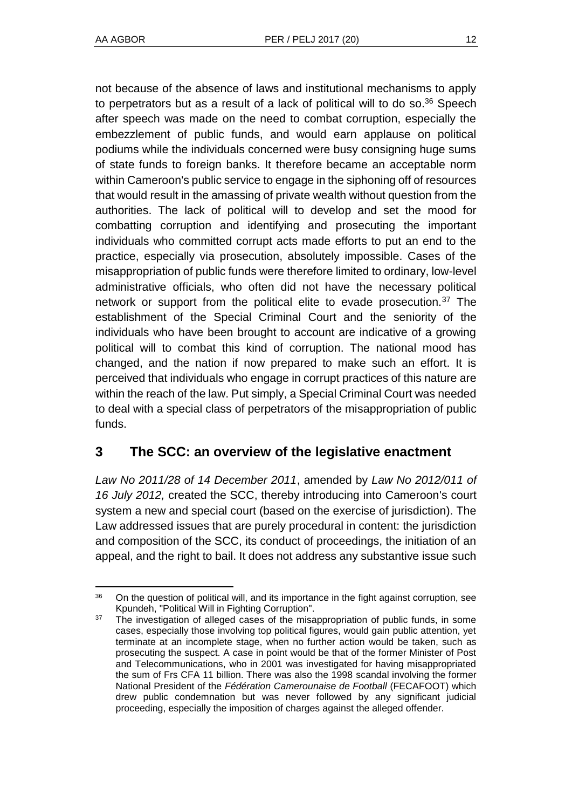not because of the absence of laws and institutional mechanisms to apply to perpetrators but as a result of a lack of political will to do so. $36$  Speech after speech was made on the need to combat corruption, especially the embezzlement of public funds, and would earn applause on political podiums while the individuals concerned were busy consigning huge sums of state funds to foreign banks. It therefore became an acceptable norm within Cameroon's public service to engage in the siphoning off of resources that would result in the amassing of private wealth without question from the authorities. The lack of political will to develop and set the mood for combatting corruption and identifying and prosecuting the important individuals who committed corrupt acts made efforts to put an end to the practice, especially via prosecution, absolutely impossible. Cases of the misappropriation of public funds were therefore limited to ordinary, low-level administrative officials, who often did not have the necessary political network or support from the political elite to evade prosecution.<sup>37</sup> The establishment of the Special Criminal Court and the seniority of the individuals who have been brought to account are indicative of a growing political will to combat this kind of corruption. The national mood has changed, and the nation if now prepared to make such an effort. It is perceived that individuals who engage in corrupt practices of this nature are within the reach of the law. Put simply, a Special Criminal Court was needed to deal with a special class of perpetrators of the misappropriation of public funds.

## **3 The SCC: an overview of the legislative enactment**

*Law No 2011/28 of 14 December 2011*, amended by *Law No 2012/011 of 16 July 2012,* created the SCC, thereby introducing into Cameroon's court system a new and special court (based on the exercise of jurisdiction). The Law addressed issues that are purely procedural in content: the jurisdiction and composition of the SCC, its conduct of proceedings, the initiation of an appeal, and the right to bail. It does not address any substantive issue such

l  $36$  On the question of political will, and its importance in the fight against corruption, see Kpundeh, "Political Will in Fighting Corruption".

 $37$  The investigation of alleged cases of the misappropriation of public funds, in some cases, especially those involving top political figures, would gain public attention, yet terminate at an incomplete stage, when no further action would be taken, such as prosecuting the suspect. A case in point would be that of the former Minister of Post and Telecommunications, who in 2001 was investigated for having misappropriated the sum of Frs CFA 11 billion. There was also the 1998 scandal involving the former National President of the *Fédération Camerounaise de Football* (FECAFOOT) which drew public condemnation but was never followed by any significant judicial proceeding, especially the imposition of charges against the alleged offender.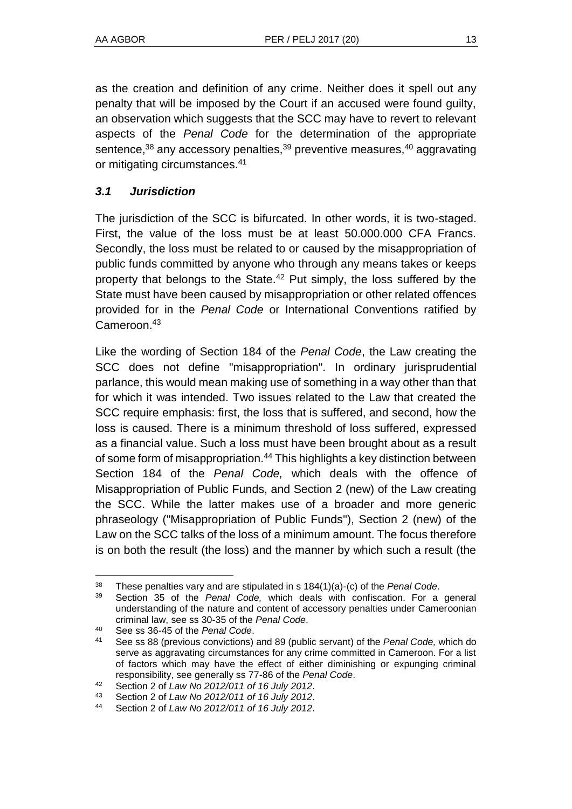as the creation and definition of any crime. Neither does it spell out any penalty that will be imposed by the Court if an accused were found guilty, an observation which suggests that the SCC may have to revert to relevant aspects of the *Penal Code* for the determination of the appropriate sentence,<sup>38</sup> any accessory penalties,<sup>39</sup> preventive measures,<sup>40</sup> aggravating or mitigating circumstances.<sup>41</sup>

## *3.1 Jurisdiction*

The jurisdiction of the SCC is bifurcated. In other words, it is two-staged. First, the value of the loss must be at least 50.000.000 CFA Francs. Secondly, the loss must be related to or caused by the misappropriation of public funds committed by anyone who through any means takes or keeps property that belongs to the State.<sup>42</sup> Put simply, the loss suffered by the State must have been caused by misappropriation or other related offences provided for in the *Penal Code* or International Conventions ratified by Cameroon.<sup>43</sup>

Like the wording of Section 184 of the *Penal Code*, the Law creating the SCC does not define "misappropriation". In ordinary jurisprudential parlance, this would mean making use of something in a way other than that for which it was intended. Two issues related to the Law that created the SCC require emphasis: first, the loss that is suffered, and second, how the loss is caused. There is a minimum threshold of loss suffered, expressed as a financial value. Such a loss must have been brought about as a result of some form of misappropriation.<sup>44</sup> This highlights a key distinction between Section 184 of the *Penal Code,* which deals with the offence of Misappropriation of Public Funds, and Section 2 (new) of the Law creating the SCC. While the latter makes use of a broader and more generic phraseology ("Misappropriation of Public Funds"), Section 2 (new) of the Law on the SCC talks of the loss of a minimum amount. The focus therefore is on both the result (the loss) and the manner by which such a result (the

 $\overline{a}$ <sup>38</sup> These penalties vary and are stipulated in s  $184(1)(a)-(c)$  of the *Penal Code*.<br><sup>39</sup> Section 35 of the *Penal Code*, which deals with confiscation. For a

<sup>39</sup> Section 35 of the *Penal Code,* which deals with confiscation. For a general understanding of the nature and content of accessory penalties under Cameroonian criminal law, see ss 30-35 of the *Penal Code*.

<sup>40</sup> See ss 36-45 of the *Penal Code*.

<sup>41</sup> See ss 88 (previous convictions) and 89 (public servant) of the *Penal Code,* which do serve as aggravating circumstances for any crime committed in Cameroon. For a list of factors which may have the effect of either diminishing or expunging criminal responsibility, see generally ss 77-86 of the *Penal Code*.

<sup>42</sup> Section 2 of *Law No 2012/011 of 16 July 2012*.

<sup>43</sup> Section 2 of *Law No 2012/011 of 16 July 2012*.

<sup>44</sup> Section 2 of *Law No 2012/011 of 16 July 2012*.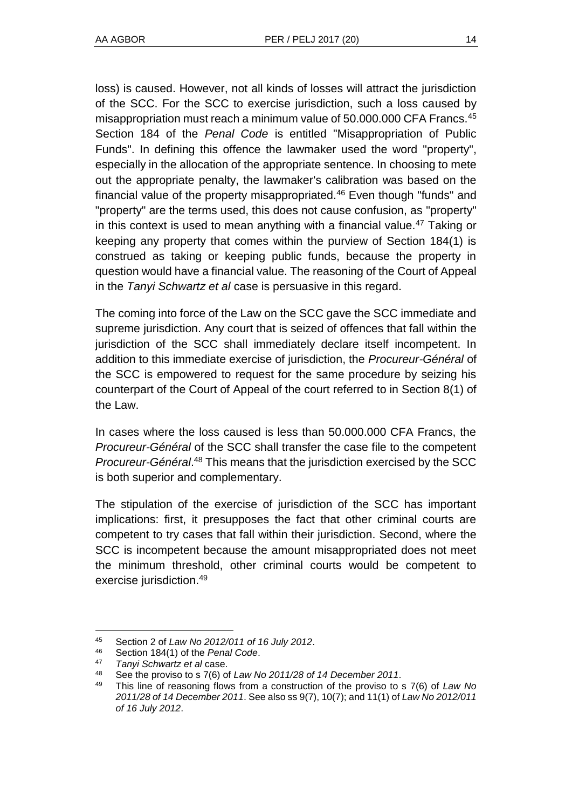loss) is caused. However, not all kinds of losses will attract the jurisdiction of the SCC. For the SCC to exercise jurisdiction, such a loss caused by misappropriation must reach a minimum value of 50.000.000 CFA Francs.<sup>45</sup> Section 184 of the *Penal Code* is entitled "Misappropriation of Public Funds". In defining this offence the lawmaker used the word "property", especially in the allocation of the appropriate sentence. In choosing to mete out the appropriate penalty, the lawmaker's calibration was based on the financial value of the property misappropriated. $46$  Even though "funds" and "property" are the terms used, this does not cause confusion, as "property" in this context is used to mean anything with a financial value.<sup>47</sup> Taking or keeping any property that comes within the purview of Section 184(1) is construed as taking or keeping public funds, because the property in question would have a financial value. The reasoning of the Court of Appeal in the *Tanyi Schwartz et al* case is persuasive in this regard.

The coming into force of the Law on the SCC gave the SCC immediate and supreme jurisdiction. Any court that is seized of offences that fall within the jurisdiction of the SCC shall immediately declare itself incompetent. In addition to this immediate exercise of jurisdiction, the *Procureur-Général* of the SCC is empowered to request for the same procedure by seizing his counterpart of the Court of Appeal of the court referred to in Section 8(1) of the Law.

In cases where the loss caused is less than 50.000.000 CFA Francs, the *Procureur-Général* of the SCC shall transfer the case file to the competent *Procureur-Général*. <sup>48</sup> This means that the jurisdiction exercised by the SCC is both superior and complementary.

The stipulation of the exercise of jurisdiction of the SCC has important implications: first, it presupposes the fact that other criminal courts are competent to try cases that fall within their jurisdiction. Second, where the SCC is incompetent because the amount misappropriated does not meet the minimum threshold, other criminal courts would be competent to exercise jurisdiction.<sup>49</sup>

l

<sup>45</sup> Section 2 of *Law No 2012/011 of 16 July 2012*.

<sup>46</sup> Section 184(1) of the *Penal Code*.

<sup>47</sup> *Tanyi Schwartz et al* case.

<sup>48</sup> See the proviso to s 7(6) of *Law No 2011/28 of 14 December 2011*.

<sup>49</sup> This line of reasoning flows from a construction of the proviso to s 7(6) of *Law No 2011/28 of 14 December 2011*. See also ss 9(7), 10(7); and 11(1) of *Law No 2012/011 of 16 July 2012*.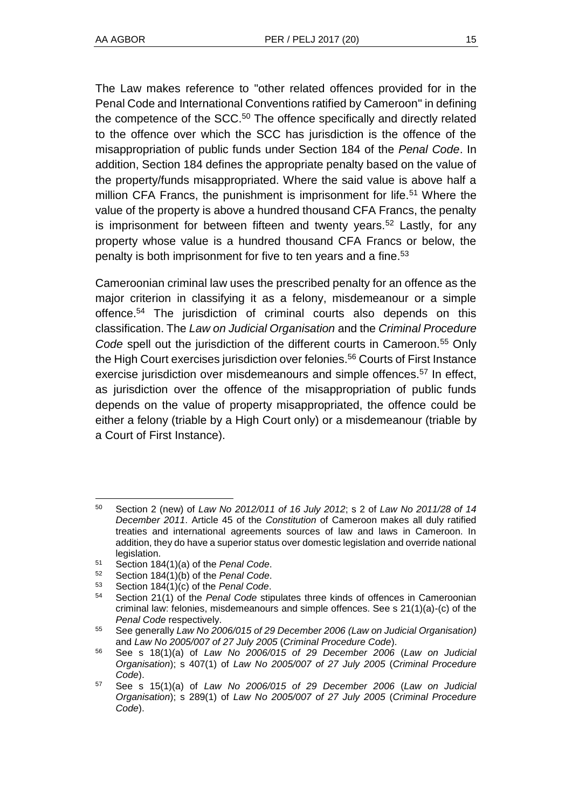The Law makes reference to "other related offences provided for in the Penal Code and International Conventions ratified by Cameroon" in defining the competence of the SCC.<sup>50</sup> The offence specifically and directly related to the offence over which the SCC has jurisdiction is the offence of the misappropriation of public funds under Section 184 of the *Penal Code*. In addition, Section 184 defines the appropriate penalty based on the value of the property/funds misappropriated. Where the said value is above half a million CFA Francs, the punishment is imprisonment for life.<sup>51</sup> Where the value of the property is above a hundred thousand CFA Francs, the penalty is imprisonment for between fifteen and twenty years.<sup>52</sup> Lastly, for any property whose value is a hundred thousand CFA Francs or below, the penalty is both imprisonment for five to ten years and a fine.<sup>53</sup>

Cameroonian criminal law uses the prescribed penalty for an offence as the major criterion in classifying it as a felony, misdemeanour or a simple offence.<sup>54</sup> The jurisdiction of criminal courts also depends on this classification. The *Law on Judicial Organisation* and the *Criminal Procedure Code* spell out the jurisdiction of the different courts in Cameroon.<sup>55</sup> Only the High Court exercises jurisdiction over felonies.<sup>56</sup> Courts of First Instance exercise jurisdiction over misdemeanours and simple offences.<sup>57</sup> In effect, as jurisdiction over the offence of the misappropriation of public funds depends on the value of property misappropriated, the offence could be either a felony (triable by a High Court only) or a misdemeanour (triable by a Court of First Instance).

l <sup>50</sup> Section 2 (new) of *Law No 2012/011 of 16 July 2012*; s 2 of *Law No 2011/28 of 14 December 2011*. Article 45 of the *Constitution* of Cameroon makes all duly ratified treaties and international agreements sources of law and laws in Cameroon. In addition, they do have a superior status over domestic legislation and override national legislation.

<sup>51</sup> Section 184(1)(a) of the *Penal Code*.

<sup>52</sup> Section 184(1)(b) of the *Penal Code*.

<sup>53</sup> Section  $184(1)(c)$  of the *Penal Code*.<br>54 Section 21(1) of the *Penal Code* stir

Section 21(1) of the *Penal Code* stipulates three kinds of offences in Cameroonian criminal law: felonies, misdemeanours and simple offences. See s  $21(1)(a)-(c)$  of the *Penal Code* respectively.

<sup>55</sup> See generally *Law No 2006/015 of 29 December 2006 (Law on Judicial Organisation)* and *Law No 2005/007 of 27 July 2005* (*Criminal Procedure Code*).

<sup>56</sup> See s 18(1)(a) of *Law No 2006/015 of 29 December 2006* (*Law on Judicial Organisation*); s 407(1) of *Law No 2005/007 of 27 July 2005* (*Criminal Procedure Code*).

<sup>57</sup> See s 15(1)(a) of *Law No 2006/015 of 29 December 2006* (*Law on Judicial Organisation*); s 289(1) of *Law No 2005/007 of 27 July 2005* (*Criminal Procedure Code*).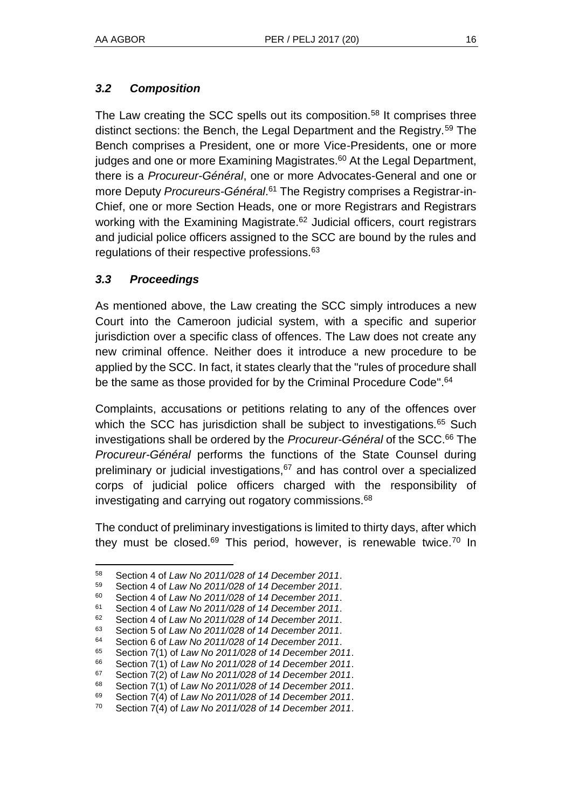## *3.2 Composition*

The Law creating the SCC spells out its composition.<sup>58</sup> It comprises three distinct sections: the Bench, the Legal Department and the Registry.<sup>59</sup> The Bench comprises a President, one or more Vice-Presidents, one or more judges and one or more Examining Magistrates.<sup>60</sup> At the Legal Department, there is a *Procureur-Général*, one or more Advocates-General and one or more Deputy *Procureurs-Général*. <sup>61</sup> The Registry comprises a Registrar-in-Chief, one or more Section Heads, one or more Registrars and Registrars working with the Examining Magistrate.<sup>62</sup> Judicial officers, court registrars and judicial police officers assigned to the SCC are bound by the rules and regulations of their respective professions.<sup>63</sup>

## *3.3 Proceedings*

l

As mentioned above, the Law creating the SCC simply introduces a new Court into the Cameroon judicial system, with a specific and superior jurisdiction over a specific class of offences. The Law does not create any new criminal offence. Neither does it introduce a new procedure to be applied by the SCC. In fact, it states clearly that the "rules of procedure shall be the same as those provided for by the Criminal Procedure Code".<sup>64</sup>

Complaints, accusations or petitions relating to any of the offences over which the SCC has jurisdiction shall be subject to investigations.<sup>65</sup> Such investigations shall be ordered by the *Procureur-Général* of the SCC.<sup>66</sup> The *Procureur-Général* performs the functions of the State Counsel during preliminary or judicial investigations, $67$  and has control over a specialized corps of judicial police officers charged with the responsibility of investigating and carrying out rogatory commissions.<sup>68</sup>

The conduct of preliminary investigations is limited to thirty days, after which they must be closed.<sup>69</sup> This period, however, is renewable twice.<sup>70</sup> In

<sup>58</sup> Section 4 of *Law No 2011/028 of 14 December 2011*.

<sup>59</sup> Section 4 of *Law No 2011/028 of 14 December 2011*.

<sup>60</sup> Section 4 of *Law No 2011/028 of 14 December 2011*.

<sup>61</sup> Section 4 of *Law No 2011/028 of 14 December 2011*.

<sup>62</sup> Section 4 of *Law No 2011/028 of 14 December 2011*.

<sup>63</sup> Section 5 of *Law No 2011/028 of 14 December 2011*.

<sup>64</sup> Section 6 of *Law No 2011/028 of 14 December 2011*.

<sup>65</sup> Section 7(1) of *Law No 2011/028 of 14 December 2011*.

<sup>66</sup> Section 7(1) of *Law No 2011/028 of 14 December 2011*.

<sup>67</sup> Section 7(2) of *Law No 2011/028 of 14 December 2011*.

<sup>68</sup> Section 7(1) of *Law No 2011/028 of 14 December 2011*.

<sup>69</sup> Section 7(4) of *Law No 2011/028 of 14 December 2011*.

<sup>70</sup> Section 7(4) of *Law No 2011/028 of 14 December 2011*.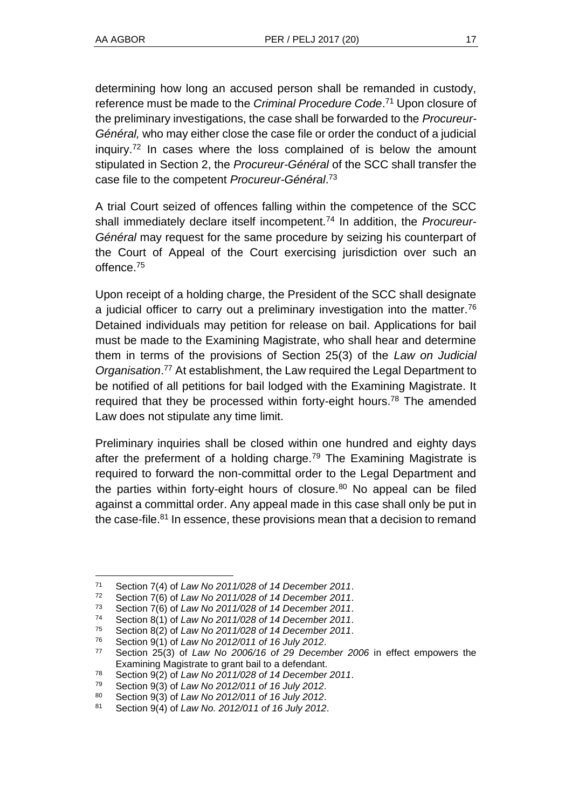determining how long an accused person shall be remanded in custody, reference must be made to the *Criminal Procedure Code*. <sup>71</sup> Upon closure of the preliminary investigations, the case shall be forwarded to the *Procureur-Général,* who may either close the case file or order the conduct of a judicial inquiry.<sup>72</sup> In cases where the loss complained of is below the amount stipulated in Section 2, the *Procureur-Général* of the SCC shall transfer the case file to the competent *Procureur-Général*. 73

A trial Court seized of offences falling within the competence of the SCC shall immediately declare itself incompetent.<sup>74</sup> In addition, the *Procureur-Général* may request for the same procedure by seizing his counterpart of the Court of Appeal of the Court exercising jurisdiction over such an offence.<sup>75</sup>

Upon receipt of a holding charge, the President of the SCC shall designate a judicial officer to carry out a preliminary investigation into the matter.<sup>76</sup> Detained individuals may petition for release on bail. Applications for bail must be made to the Examining Magistrate, who shall hear and determine them in terms of the provisions of Section 25(3) of the *Law on Judicial Organisation*. <sup>77</sup> At establishment, the Law required the Legal Department to be notified of all petitions for bail lodged with the Examining Magistrate. It required that they be processed within forty-eight hours.<sup>78</sup> The amended Law does not stipulate any time limit.

Preliminary inquiries shall be closed within one hundred and eighty days after the preferment of a holding charge.<sup>79</sup> The Examining Magistrate is required to forward the non-committal order to the Legal Department and the parties within forty-eight hours of closure.<sup>80</sup> No appeal can be filed against a committal order. Any appeal made in this case shall only be put in the case-file. $81$  In essence, these provisions mean that a decision to remand

 $\overline{a}$ 

<sup>71</sup> Section 7(4) of *Law No 2011/028 of 14 December 2011*.

<sup>72</sup> Section 7(6) of *Law No 2011/028 of 14 December 2011*.

<sup>73</sup> Section 7(6) of *Law No 2011/028 of 14 December 2011*.

<sup>74</sup> Section 8(1) of *Law No 2011/028 of 14 December 2011*.

<sup>75</sup> Section 8(2) of *Law No 2011/028 of 14 December 2011*.

<sup>76</sup> Section 9(1) of *Law No 2012/011 of 16 July 2012*.

<sup>77</sup> Section 25(3) of *Law No 2006/16 of 29 December 2006* in effect empowers the Examining Magistrate to grant bail to a defendant.

<sup>78</sup> Section 9(2) of *Law No 2011/028 of 14 December 2011*.

<sup>79</sup> Section 9(3) of *Law No 2012/011 of 16 July 2012*.

<sup>80</sup> Section 9(3) of *Law No 2012/011 of 16 July 2012*.

<sup>81</sup> Section 9(4) of *Law No. 2012/011 of 16 July 2012*.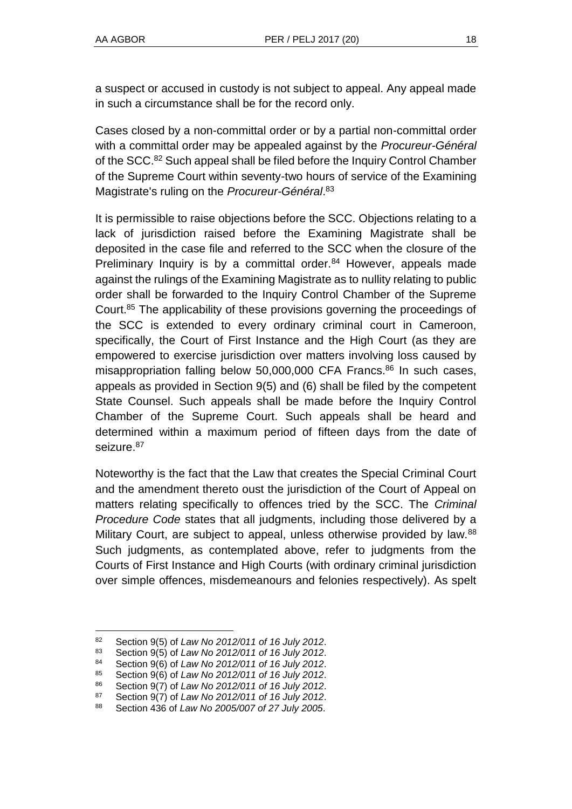a suspect or accused in custody is not subject to appeal. Any appeal made in such a circumstance shall be for the record only.

Cases closed by a non-committal order or by a partial non-committal order with a committal order may be appealed against by the *Procureur-Général* of the SCC.<sup>82</sup> Such appeal shall be filed before the Inquiry Control Chamber of the Supreme Court within seventy-two hours of service of the Examining Magistrate's ruling on the *Procureur-Général*. 83

It is permissible to raise objections before the SCC. Objections relating to a lack of jurisdiction raised before the Examining Magistrate shall be deposited in the case file and referred to the SCC when the closure of the Preliminary Inquiry is by a committal order.<sup>84</sup> However, appeals made against the rulings of the Examining Magistrate as to nullity relating to public order shall be forwarded to the Inquiry Control Chamber of the Supreme Court.<sup>85</sup> The applicability of these provisions governing the proceedings of the SCC is extended to every ordinary criminal court in Cameroon, specifically, the Court of First Instance and the High Court (as they are empowered to exercise jurisdiction over matters involving loss caused by misappropriation falling below 50,000,000 CFA Francs.<sup>86</sup> In such cases, appeals as provided in Section 9(5) and (6) shall be filed by the competent State Counsel. Such appeals shall be made before the Inquiry Control Chamber of the Supreme Court. Such appeals shall be heard and determined within a maximum period of fifteen days from the date of seizure.<sup>87</sup>

Noteworthy is the fact that the Law that creates the Special Criminal Court and the amendment thereto oust the jurisdiction of the Court of Appeal on matters relating specifically to offences tried by the SCC. The *Criminal Procedure Code* states that all judgments, including those delivered by a Military Court, are subject to appeal, unless otherwise provided by law.<sup>88</sup> Such judgments, as contemplated above, refer to judgments from the Courts of First Instance and High Courts (with ordinary criminal jurisdiction over simple offences, misdemeanours and felonies respectively). As spelt

l

<sup>82</sup> Section 9(5) of *Law No 2012/011 of 16 July 2012*.

<sup>83</sup> Section 9(5) of *Law No 2012/011 of 16 July 2012*.

<sup>84</sup> Section 9(6) of *Law No 2012/011 of 16 July 2012*.

<sup>85</sup> Section 9(6) of *Law No 2012/011 of 16 July 2012*.

<sup>86</sup> Section 9(7) of *Law No 2012/011 of 16 July 2012*.

<sup>87</sup> Section 9(7) of *Law No 2012/011 of 16 July 2012*.

<sup>88</sup> Section 436 of *Law No 2005/007 of 27 July 2005*.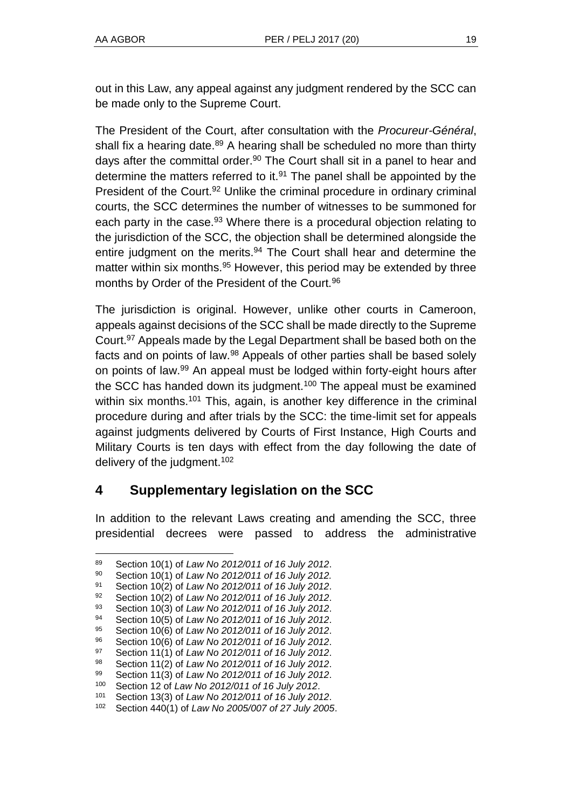out in this Law, any appeal against any judgment rendered by the SCC can be made only to the Supreme Court.

The President of the Court, after consultation with the *Procureur-Général*, shall fix a hearing date.<sup>89</sup> A hearing shall be scheduled no more than thirty days after the committal order.<sup>90</sup> The Court shall sit in a panel to hear and determine the matters referred to it. $91$  The panel shall be appointed by the President of the Court.<sup>92</sup> Unlike the criminal procedure in ordinary criminal courts, the SCC determines the number of witnesses to be summoned for each party in the case.<sup>93</sup> Where there is a procedural objection relating to the jurisdiction of the SCC, the objection shall be determined alongside the entire judgment on the merits.<sup>94</sup> The Court shall hear and determine the matter within six months.<sup>95</sup> However, this period may be extended by three months by Order of the President of the Court.<sup>96</sup>

The jurisdiction is original. However, unlike other courts in Cameroon, appeals against decisions of the SCC shall be made directly to the Supreme Court.<sup>97</sup> Appeals made by the Legal Department shall be based both on the facts and on points of law.<sup>98</sup> Appeals of other parties shall be based solely on points of law.<sup>99</sup> An appeal must be lodged within forty-eight hours after the SCC has handed down its judgment.<sup>100</sup> The appeal must be examined within six months.<sup>101</sup> This, again, is another key difference in the criminal procedure during and after trials by the SCC: the time-limit set for appeals against judgments delivered by Courts of First Instance, High Courts and Military Courts is ten days with effect from the day following the date of delivery of the judgment.<sup>102</sup>

## **4 Supplementary legislation on the SCC**

In addition to the relevant Laws creating and amending the SCC, three presidential decrees were passed to address the administrative

l <sup>89</sup> Section 10(1) of *Law No 2012/011 of 16 July 2012*.

<sup>90</sup> Section 10(1) of *Law No 2012/011 of 16 July 2012.*

<sup>91</sup> Section 10(2) of *Law No 2012/011 of 16 July 2012*.

<sup>92</sup> Section 10(2) of *Law No 2012/011 of 16 July 2012*.

<sup>93</sup> Section 10(3) of *Law No 2012/011 of 16 July 2012*.

<sup>94</sup> Section 10(5) of *Law No 2012/011 of 16 July 2012*.

<sup>95</sup> Section 10(6) of *Law No 2012/011 of 16 July 2012*.

<sup>96</sup> Section 10(6) of *Law No 2012/011 of 16 July 2012*.

<sup>97</sup> Section 11(1) of *Law No 2012/011 of 16 July 2012*. <sup>98</sup> Section 11(2) of *Law No 2012/011 of 16 July 2012*.

<sup>99</sup> Section 11(3) of *Law No 2012/011 of 16 July 2012*.

<sup>100</sup> Section 12 of *Law No 2012/011 of 16 July 2012*.

<sup>101</sup> Section 13(3) of *Law No 2012/011 of 16 July 2012*.

<sup>102</sup> Section 440(1) of *Law No 2005/007 of 27 July 2005*.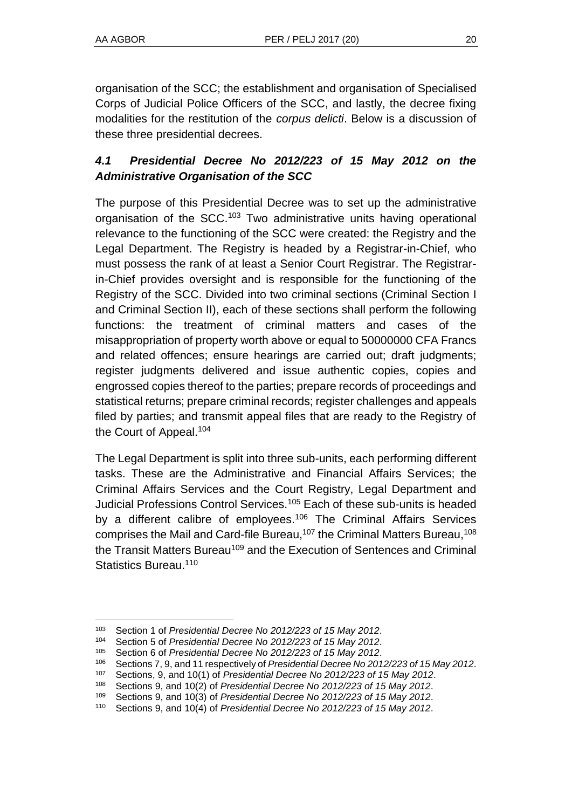organisation of the SCC; the establishment and organisation of Specialised Corps of Judicial Police Officers of the SCC, and lastly, the decree fixing modalities for the restitution of the *corpus delicti*. Below is a discussion of these three presidential decrees.

## *4.1 Presidential Decree No 2012/223 of 15 May 2012 on the Administrative Organisation of the SCC*

The purpose of this Presidential Decree was to set up the administrative organisation of the SCC.<sup>103</sup> Two administrative units having operational relevance to the functioning of the SCC were created: the Registry and the Legal Department. The Registry is headed by a Registrar-in-Chief, who must possess the rank of at least a Senior Court Registrar. The Registrarin-Chief provides oversight and is responsible for the functioning of the Registry of the SCC. Divided into two criminal sections (Criminal Section I and Criminal Section II), each of these sections shall perform the following functions: the treatment of criminal matters and cases of the misappropriation of property worth above or equal to 50000000 CFA Francs and related offences; ensure hearings are carried out; draft judgments; register judgments delivered and issue authentic copies, copies and engrossed copies thereof to the parties; prepare records of proceedings and statistical returns; prepare criminal records; register challenges and appeals filed by parties; and transmit appeal files that are ready to the Registry of the Court of Appeal.<sup>104</sup>

The Legal Department is split into three sub-units, each performing different tasks. These are the Administrative and Financial Affairs Services; the Criminal Affairs Services and the Court Registry, Legal Department and Judicial Professions Control Services.<sup>105</sup> Each of these sub-units is headed by a different calibre of employees.<sup>106</sup> The Criminal Affairs Services comprises the Mail and Card-file Bureau,<sup>107</sup> the Criminal Matters Bureau,<sup>108</sup> the Transit Matters Bureau<sup>109</sup> and the Execution of Sentences and Criminal Statistics Bureau<sup>110</sup>

l <sup>103</sup> Section 1 of *Presidential Decree No 2012/223 of 15 May 2012*.

<sup>104</sup> Section 5 of *Presidential Decree No 2012/223 of 15 May 2012*.

<sup>105</sup> Section 6 of *Presidential Decree No 2012/223 of 15 May 2012*.

<sup>106</sup> Sections 7, 9, and 11 respectively of *Presidential Decree No 2012/223 of 15 May 2012*.

<sup>107</sup> Sections, 9, and 10(1) of *Presidential Decree No 2012/223 of 15 May 2012*.

<sup>108</sup> Sections 9, and 10(2) of *Presidential Decree No 2012/223 of 15 May 2012*.

<sup>109</sup> Sections 9, and 10(3) of *Presidential Decree No 2012/223 of 15 May 2012*.

<sup>110</sup> Sections 9, and 10(4) of *Presidential Decree No 2012/223 of 15 May 2012*.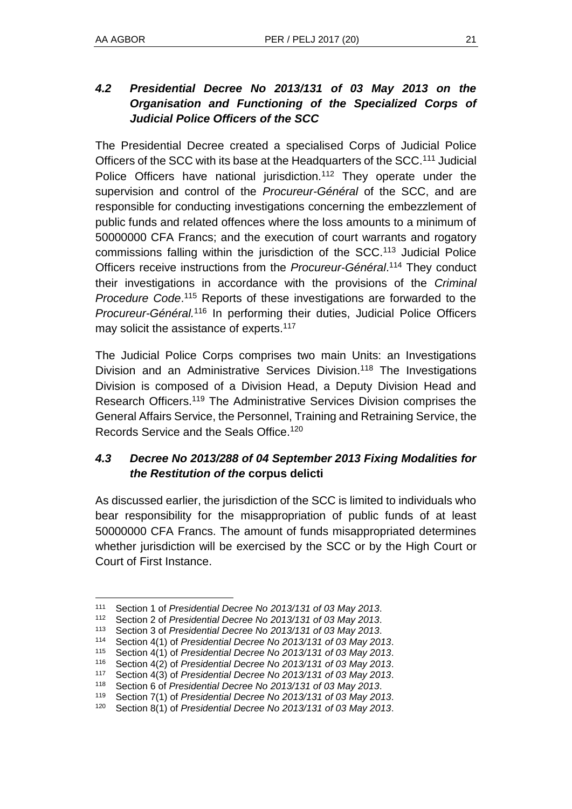## *4.2 Presidential Decree No 2013/131 of 03 May 2013 on the Organisation and Functioning of the Specialized Corps of Judicial Police Officers of the SCC*

The Presidential Decree created a specialised Corps of Judicial Police Officers of the SCC with its base at the Headquarters of the SCC.<sup>111</sup> Judicial Police Officers have national jurisdiction.<sup>112</sup> They operate under the supervision and control of the *Procureur-Général* of the SCC, and are responsible for conducting investigations concerning the embezzlement of public funds and related offences where the loss amounts to a minimum of 50000000 CFA Francs; and the execution of court warrants and rogatory commissions falling within the jurisdiction of the SCC.<sup>113</sup> Judicial Police Officers receive instructions from the *Procureur-Général*. <sup>114</sup> They conduct their investigations in accordance with the provisions of the *Criminal Procedure Code*. <sup>115</sup> Reports of these investigations are forwarded to the *Procureur-Général.*<sup>116</sup> In performing their duties, Judicial Police Officers may solicit the assistance of experts.<sup>117</sup>

The Judicial Police Corps comprises two main Units: an Investigations Division and an Administrative Services Division.<sup>118</sup> The Investigations Division is composed of a Division Head, a Deputy Division Head and Research Officers.<sup>119</sup> The Administrative Services Division comprises the General Affairs Service, the Personnel, Training and Retraining Service, the Records Service and the Seals Office.<sup>120</sup>

## *4.3 Decree No 2013/288 of 04 September 2013 Fixing Modalities for the Restitution of the* **corpus delicti**

As discussed earlier, the jurisdiction of the SCC is limited to individuals who bear responsibility for the misappropriation of public funds of at least 50000000 CFA Francs. The amount of funds misappropriated determines whether jurisdiction will be exercised by the SCC or by the High Court or Court of First Instance.

l <sup>111</sup> Section 1 of *Presidential Decree No 2013/131 of 03 May 2013*.

<sup>112</sup> Section 2 of *Presidential Decree No 2013/131 of 03 May 2013*.

Section 3 of *Presidential Decree No* 2013/131 of 03 May 2013.

<sup>114</sup> Section 4(1) of *Presidential Decree No 2013/131 of 03 May 2013*.

<sup>115</sup> Section 4(1) of *Presidential Decree No 2013/131 of 03 May 2013*.

<sup>116</sup> Section 4(2) of *Presidential Decree No 2013/131 of 03 May 2013*.

<sup>117</sup> Section 4(3) of *Presidential Decree No 2013/131 of 03 May 2013*.

<sup>118</sup> Section 6 of *Presidential Decree No 2013/131 of 03 May 2013*.

<sup>119</sup> Section 7(1) of *Presidential Decree No 2013/131 of 03 May 2013*.

<sup>120</sup> Section 8(1) of *Presidential Decree No 2013/131 of 03 May 2013*.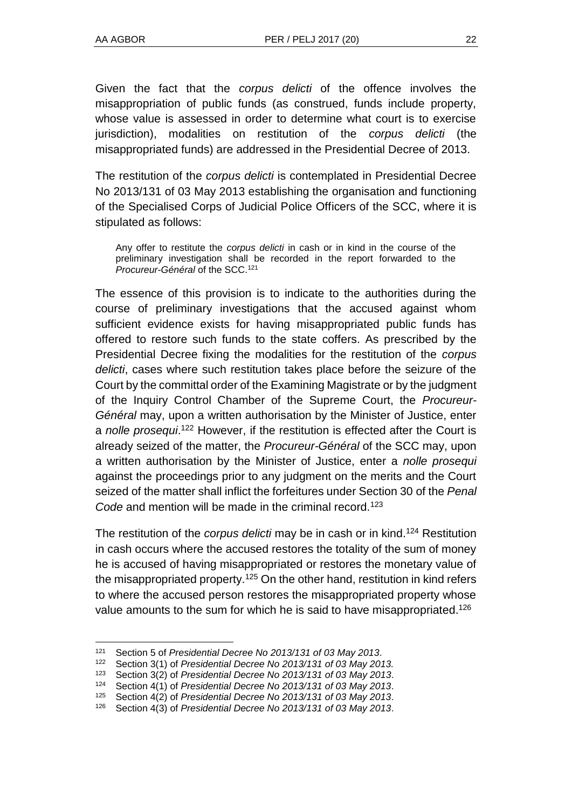l

Given the fact that the *corpus delicti* of the offence involves the misappropriation of public funds (as construed, funds include property, whose value is assessed in order to determine what court is to exercise jurisdiction), modalities on restitution of the *corpus delicti* (the misappropriated funds) are addressed in the Presidential Decree of 2013.

The restitution of the *corpus delicti* is contemplated in Presidential Decree No 2013/131 of 03 May 2013 establishing the organisation and functioning of the Specialised Corps of Judicial Police Officers of the SCC, where it is stipulated as follows:

Any offer to restitute the *corpus delicti* in cash or in kind in the course of the preliminary investigation shall be recorded in the report forwarded to the *Procureur-Général* of the SCC.<sup>121</sup>

The essence of this provision is to indicate to the authorities during the course of preliminary investigations that the accused against whom sufficient evidence exists for having misappropriated public funds has offered to restore such funds to the state coffers. As prescribed by the Presidential Decree fixing the modalities for the restitution of the *corpus delicti*, cases where such restitution takes place before the seizure of the Court by the committal order of the Examining Magistrate or by the judgment of the Inquiry Control Chamber of the Supreme Court, the *Procureur-Général* may, upon a written authorisation by the Minister of Justice, enter a *nolle prosequi*. <sup>122</sup> However, if the restitution is effected after the Court is already seized of the matter, the *Procureur-Général* of the SCC may, upon a written authorisation by the Minister of Justice, enter a *nolle prosequi* against the proceedings prior to any judgment on the merits and the Court seized of the matter shall inflict the forfeitures under Section 30 of the *Penal Code* and mention will be made in the criminal record.<sup>123</sup>

The restitution of the *corpus delicti* may be in cash or in kind.<sup>124</sup> Restitution in cash occurs where the accused restores the totality of the sum of money he is accused of having misappropriated or restores the monetary value of the misappropriated property.<sup>125</sup> On the other hand, restitution in kind refers to where the accused person restores the misappropriated property whose value amounts to the sum for which he is said to have misappropriated.<sup>126</sup>

<sup>121</sup> Section 5 of *Presidential Decree No 2013/131 of 03 May 2013*.

<sup>122</sup> Section 3(1) of *Presidential Decree No 2013/131 of 03 May 2013.*

<sup>123</sup> Section 3(2) of *Presidential Decree No 2013/131 of 03 May 2013*.

<sup>124</sup> Section 4(1) of *Presidential Decree No 2013/131 of 03 May 2013*.

<sup>125</sup> Section 4(2) of *Presidential Decree No 2013/131 of 03 May 2013*.

<sup>126</sup> Section 4(3) of *Presidential Decree No 2013/131 of 03 May 2013*.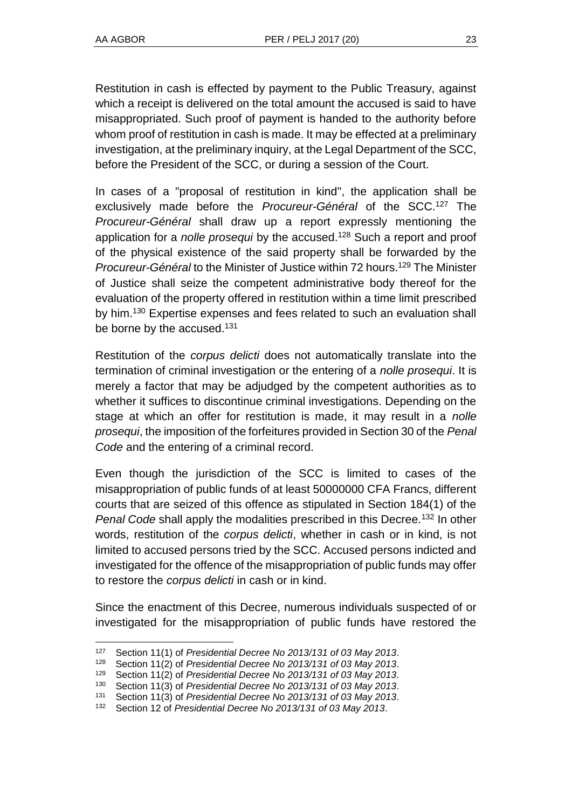l

Restitution in cash is effected by payment to the Public Treasury, against which a receipt is delivered on the total amount the accused is said to have misappropriated. Such proof of payment is handed to the authority before whom proof of restitution in cash is made. It may be effected at a preliminary investigation, at the preliminary inquiry, at the Legal Department of the SCC, before the President of the SCC, or during a session of the Court.

In cases of a "proposal of restitution in kind", the application shall be exclusively made before the *Procureur-Général* of the SCC.<sup>127</sup> The *Procureur-Général* shall draw up a report expressly mentioning the application for a *nolle prosequi* by the accused.<sup>128</sup> Such a report and proof of the physical existence of the said property shall be forwarded by the *Procureur-Général* to the Minister of Justice within 72 hours.<sup>129</sup> The Minister of Justice shall seize the competent administrative body thereof for the evaluation of the property offered in restitution within a time limit prescribed by him.<sup>130</sup> Expertise expenses and fees related to such an evaluation shall be borne by the accused.<sup>131</sup>

Restitution of the *corpus delicti* does not automatically translate into the termination of criminal investigation or the entering of a *nolle prosequi*. It is merely a factor that may be adjudged by the competent authorities as to whether it suffices to discontinue criminal investigations. Depending on the stage at which an offer for restitution is made, it may result in a *nolle prosequi*, the imposition of the forfeitures provided in Section 30 of the *Penal Code* and the entering of a criminal record.

Even though the jurisdiction of the SCC is limited to cases of the misappropriation of public funds of at least 50000000 CFA Francs, different courts that are seized of this offence as stipulated in Section 184(1) of the *Penal Code* shall apply the modalities prescribed in this Decree.<sup>132</sup> In other words, restitution of the *corpus delicti*, whether in cash or in kind, is not limited to accused persons tried by the SCC. Accused persons indicted and investigated for the offence of the misappropriation of public funds may offer to restore the *corpus delicti* in cash or in kind.

Since the enactment of this Decree, numerous individuals suspected of or investigated for the misappropriation of public funds have restored the

<sup>127</sup> Section 11(1) of *Presidential Decree No 2013/131 of 03 May 2013*.

<sup>128</sup> Section 11(2) of *Presidential Decree No 2013/131 of 03 May 2013*.

<sup>129</sup> Section 11(2) of *Presidential Decree No 2013/131 of 03 May 2013*.

<sup>130</sup> Section 11(3) of *Presidential Decree No 2013/131 of 03 May 2013*.

<sup>131</sup> Section 11(3) of *Presidential Decree No 2013/131 of 03 May 2013*.

<sup>132</sup> Section 12 of *Presidential Decree No 2013/131 of 03 May 2013*.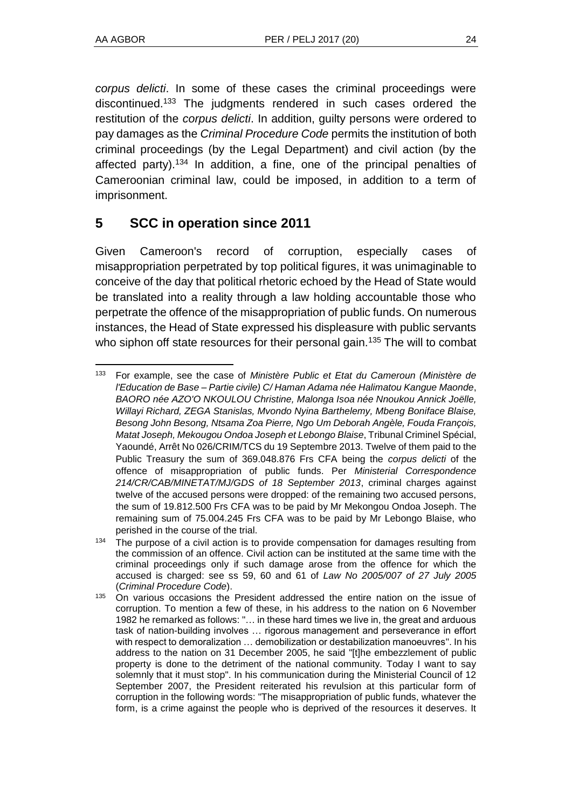*corpus delicti*. In some of these cases the criminal proceedings were discontinued.<sup>133</sup> The judgments rendered in such cases ordered the restitution of the *corpus delicti*. In addition, guilty persons were ordered to pay damages as the *Criminal Procedure Code* permits the institution of both criminal proceedings (by the Legal Department) and civil action (by the affected party).<sup>134</sup> In addition, a fine, one of the principal penalties of Cameroonian criminal law, could be imposed, in addition to a term of imprisonment.

## **5 SCC in operation since 2011**

Given Cameroon's record of corruption, especially cases of misappropriation perpetrated by top political figures, it was unimaginable to conceive of the day that political rhetoric echoed by the Head of State would be translated into a reality through a law holding accountable those who perpetrate the offence of the misappropriation of public funds. On numerous instances, the Head of State expressed his displeasure with public servants who siphon off state resources for their personal gain.<sup>135</sup> The will to combat

l <sup>133</sup> For example, see the case of *Ministère Public et Etat du Cameroun (Ministère de l'Education de Base – Partie civile) C/ Haman Adama née Halimatou Kangue Maonde*, *BAORO née AZO'O NKOULOU Christine, Malonga Isoa née Nnoukou Annick Joëlle, Willayi Richard, ZEGA Stanislas, Mvondo Nyina Barthelemy, Mbeng Boniface Blaise, Besong John Besong, Ntsama Zoa Pierre, Ngo Um Deborah Angèle, Fouda François, Matat Joseph, Mekougou Ondoa Joseph et Lebongo Blaise*, Tribunal Criminel Spécial, Yaoundé, Arrêt No 026/CRIM/TCS du 19 Septembre 2013. Twelve of them paid to the Public Treasury the sum of 369.048.876 Frs CFA being the *corpus delicti* of the offence of misappropriation of public funds. Per *Ministerial Correspondence 214/CR/CAB/MINETAT/MJ/GDS of 18 September 2013*, criminal charges against twelve of the accused persons were dropped: of the remaining two accused persons, the sum of 19.812.500 Frs CFA was to be paid by Mr Mekongou Ondoa Joseph. The remaining sum of 75.004.245 Frs CFA was to be paid by Mr Lebongo Blaise, who perished in the course of the trial.

<sup>&</sup>lt;sup>134</sup> The purpose of a civil action is to provide compensation for damages resulting from the commission of an offence. Civil action can be instituted at the same time with the criminal proceedings only if such damage arose from the offence for which the accused is charged: see ss 59, 60 and 61 of *Law No 2005/007 of 27 July 2005*  (*Criminal Procedure Code*).

<sup>&</sup>lt;sup>135</sup> On various occasions the President addressed the entire nation on the issue of corruption. To mention a few of these, in his address to the nation on 6 November 1982 he remarked as follows: "… in these hard times we live in, the great and arduous task of nation-building involves … rigorous management and perseverance in effort with respect to demoralization … demobilization or destabilization manoeuvres". In his address to the nation on 31 December 2005, he said "[t]he embezzlement of public property is done to the detriment of the national community. Today I want to say solemnly that it must stop". In his communication during the Ministerial Council of 12 September 2007, the President reiterated his revulsion at this particular form of corruption in the following words: "The misappropriation of public funds, whatever the form, is a crime against the people who is deprived of the resources it deserves. It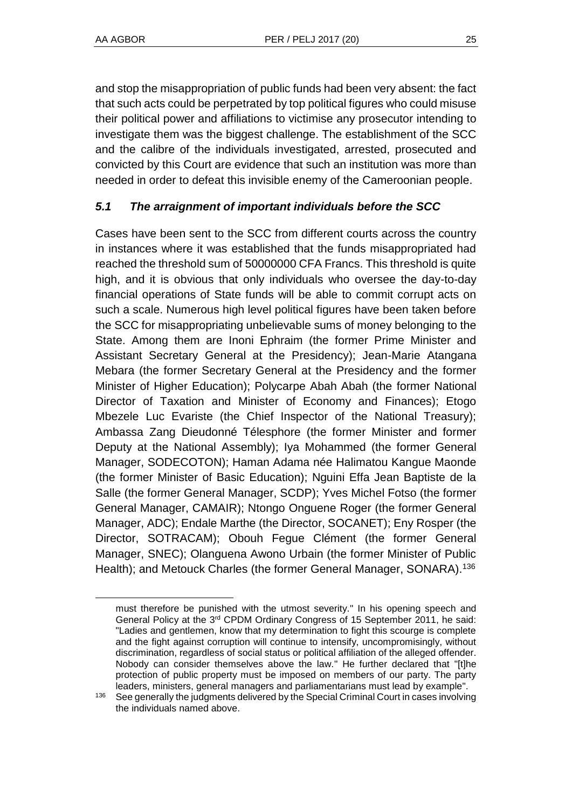l

and stop the misappropriation of public funds had been very absent: the fact that such acts could be perpetrated by top political figures who could misuse their political power and affiliations to victimise any prosecutor intending to investigate them was the biggest challenge. The establishment of the SCC and the calibre of the individuals investigated, arrested, prosecuted and convicted by this Court are evidence that such an institution was more than needed in order to defeat this invisible enemy of the Cameroonian people.

## *5.1 The arraignment of important individuals before the SCC*

Cases have been sent to the SCC from different courts across the country in instances where it was established that the funds misappropriated had reached the threshold sum of 50000000 CFA Francs. This threshold is quite high, and it is obvious that only individuals who oversee the day-to-day financial operations of State funds will be able to commit corrupt acts on such a scale. Numerous high level political figures have been taken before the SCC for misappropriating unbelievable sums of money belonging to the State. Among them are Inoni Ephraim (the former Prime Minister and Assistant Secretary General at the Presidency); Jean-Marie Atangana Mebara (the former Secretary General at the Presidency and the former Minister of Higher Education); Polycarpe Abah Abah (the former National Director of Taxation and Minister of Economy and Finances); Etogo Mbezele Luc Evariste (the Chief Inspector of the National Treasury); Ambassa Zang Dieudonné Télesphore (the former Minister and former Deputy at the National Assembly); Iya Mohammed (the former General Manager, SODECOTON); Haman Adama née Halimatou Kangue Maonde (the former Minister of Basic Education); Nguini Effa Jean Baptiste de la Salle (the former General Manager, SCDP); Yves Michel Fotso (the former General Manager, CAMAIR); Ntongo Onguene Roger (the former General Manager, ADC); Endale Marthe (the Director, SOCANET); Eny Rosper (the Director, SOTRACAM); Obouh Fegue Clément (the former General Manager, SNEC); Olanguena Awono Urbain (the former Minister of Public Health); and Metouck Charles (the former General Manager, SONARA).<sup>136</sup>

must therefore be punished with the utmost severity." In his opening speech and General Policy at the 3rd CPDM Ordinary Congress of 15 September 2011, he said: "Ladies and gentlemen, know that my determination to fight this scourge is complete and the fight against corruption will continue to intensify, uncompromisingly, without discrimination, regardless of social status or political affiliation of the alleged offender. Nobody can consider themselves above the law." He further declared that "[t]he protection of public property must be imposed on members of our party. The party leaders, ministers, general managers and parliamentarians must lead by example".

<sup>136</sup> See generally the judgments delivered by the Special Criminal Court in cases involving the individuals named above.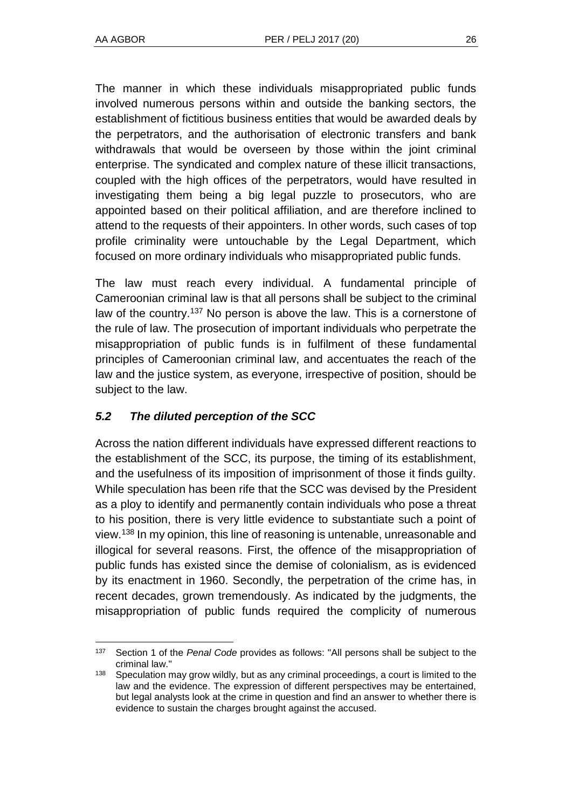The manner in which these individuals misappropriated public funds involved numerous persons within and outside the banking sectors, the establishment of fictitious business entities that would be awarded deals by the perpetrators, and the authorisation of electronic transfers and bank withdrawals that would be overseen by those within the joint criminal enterprise. The syndicated and complex nature of these illicit transactions, coupled with the high offices of the perpetrators, would have resulted in investigating them being a big legal puzzle to prosecutors, who are appointed based on their political affiliation, and are therefore inclined to attend to the requests of their appointers. In other words, such cases of top profile criminality were untouchable by the Legal Department, which focused on more ordinary individuals who misappropriated public funds.

The law must reach every individual. A fundamental principle of Cameroonian criminal law is that all persons shall be subject to the criminal law of the country.<sup>137</sup> No person is above the law. This is a cornerstone of the rule of law. The prosecution of important individuals who perpetrate the misappropriation of public funds is in fulfilment of these fundamental principles of Cameroonian criminal law, and accentuates the reach of the law and the justice system, as everyone, irrespective of position, should be subject to the law.

## *5.2 The diluted perception of the SCC*

Across the nation different individuals have expressed different reactions to the establishment of the SCC, its purpose, the timing of its establishment, and the usefulness of its imposition of imprisonment of those it finds guilty. While speculation has been rife that the SCC was devised by the President as a ploy to identify and permanently contain individuals who pose a threat to his position, there is very little evidence to substantiate such a point of view.<sup>138</sup> In my opinion, this line of reasoning is untenable, unreasonable and illogical for several reasons. First, the offence of the misappropriation of public funds has existed since the demise of colonialism, as is evidenced by its enactment in 1960. Secondly, the perpetration of the crime has, in recent decades, grown tremendously. As indicated by the judgments, the misappropriation of public funds required the complicity of numerous

l <sup>137</sup> Section 1 of the *Penal Code* provides as follows: "All persons shall be subject to the criminal law."

<sup>&</sup>lt;sup>138</sup> Speculation may grow wildly, but as any criminal proceedings, a court is limited to the law and the evidence. The expression of different perspectives may be entertained, but legal analysts look at the crime in question and find an answer to whether there is evidence to sustain the charges brought against the accused.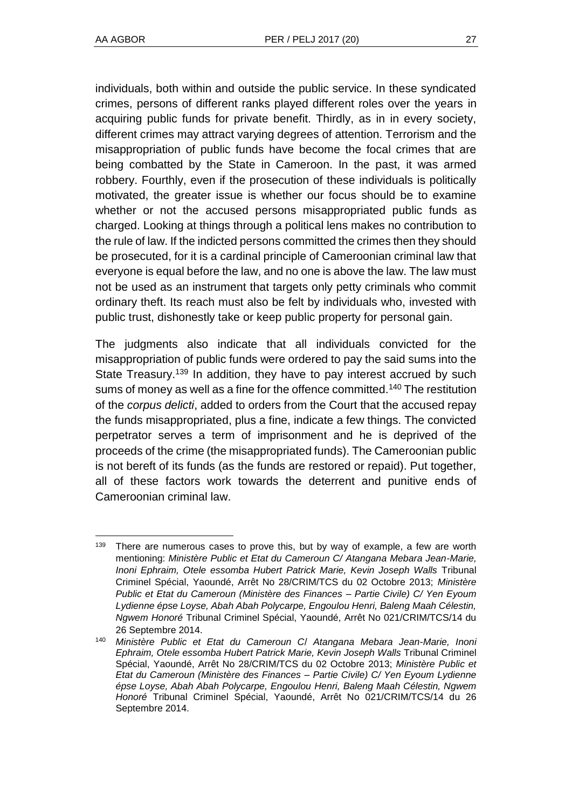individuals, both within and outside the public service. In these syndicated crimes, persons of different ranks played different roles over the years in acquiring public funds for private benefit. Thirdly, as in in every society, different crimes may attract varying degrees of attention. Terrorism and the misappropriation of public funds have become the focal crimes that are being combatted by the State in Cameroon. In the past, it was armed robbery. Fourthly, even if the prosecution of these individuals is politically motivated, the greater issue is whether our focus should be to examine whether or not the accused persons misappropriated public funds as charged. Looking at things through a political lens makes no contribution to the rule of law. If the indicted persons committed the crimes then they should be prosecuted, for it is a cardinal principle of Cameroonian criminal law that everyone is equal before the law, and no one is above the law. The law must not be used as an instrument that targets only petty criminals who commit ordinary theft. Its reach must also be felt by individuals who, invested with public trust, dishonestly take or keep public property for personal gain.

The judgments also indicate that all individuals convicted for the misappropriation of public funds were ordered to pay the said sums into the State Treasury.<sup>139</sup> In addition, they have to pay interest accrued by such sums of money as well as a fine for the offence committed.<sup>140</sup> The restitution of the *corpus delicti*, added to orders from the Court that the accused repay the funds misappropriated, plus a fine, indicate a few things. The convicted perpetrator serves a term of imprisonment and he is deprived of the proceeds of the crime (the misappropriated funds). The Cameroonian public is not bereft of its funds (as the funds are restored or repaid). Put together, all of these factors work towards the deterrent and punitive ends of Cameroonian criminal law.

l <sup>139</sup> There are numerous cases to prove this, but by way of example, a few are worth mentioning: *Ministère Public et Etat du Cameroun C/ Atangana Mebara Jean-Marie, Inoni Ephraim, Otele essomba Hubert Patrick Marie, Kevin Joseph Walls* Tribunal Criminel Spécial, Yaoundé, Arrêt No 28/CRIM/TCS du 02 Octobre 2013; *Ministère Public et Etat du Cameroun (Ministère des Finances – Partie Civile) C/ Yen Eyoum Lydienne épse Loyse, Abah Abah Polycarpe, Engoulou Henri, Baleng Maah Célestin, Ngwem Honoré* Tribunal Criminel Spécial, Yaoundé, Arrêt No 021/CRIM/TCS/14 du 26 Septembre 2014.

<sup>140</sup> *Ministère Public et Etat du Cameroun C*/ *Atangana Mebara Jean-Marie, Inoni Ephraim, Otele essomba Hubert Patrick Marie, Kevin Joseph Walls* Tribunal Criminel Spécial, Yaoundé, Arrêt No 28/CRIM/TCS du 02 Octobre 2013; *Ministère Public et Etat du Cameroun (Ministère des Finances – Partie Civile) C/ Yen Eyoum Lydienne épse Loyse, Abah Abah Polycarpe, Engoulou Henri, Baleng Maah Célestin, Ngwem Honoré* Tribunal Criminel Spécial, Yaoundé, Arrêt No 021/CRIM/TCS/14 du 26 Septembre 2014.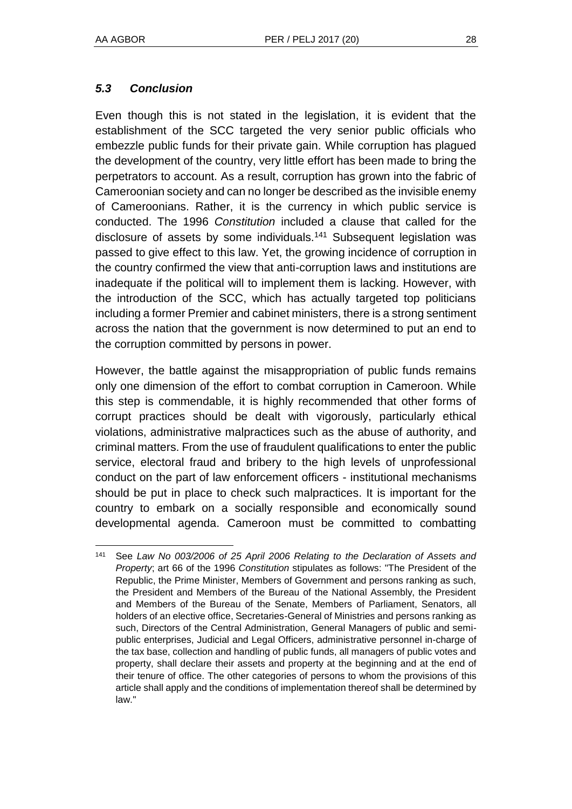## *5.3 Conclusion*

Even though this is not stated in the legislation, it is evident that the establishment of the SCC targeted the very senior public officials who embezzle public funds for their private gain. While corruption has plagued the development of the country, very little effort has been made to bring the perpetrators to account. As a result, corruption has grown into the fabric of Cameroonian society and can no longer be described as the invisible enemy of Cameroonians. Rather, it is the currency in which public service is conducted. The 1996 *Constitution* included a clause that called for the disclosure of assets by some individuals.<sup>141</sup> Subsequent legislation was passed to give effect to this law. Yet, the growing incidence of corruption in the country confirmed the view that anti-corruption laws and institutions are inadequate if the political will to implement them is lacking. However, with the introduction of the SCC, which has actually targeted top politicians including a former Premier and cabinet ministers, there is a strong sentiment across the nation that the government is now determined to put an end to the corruption committed by persons in power.

However, the battle against the misappropriation of public funds remains only one dimension of the effort to combat corruption in Cameroon. While this step is commendable, it is highly recommended that other forms of corrupt practices should be dealt with vigorously, particularly ethical violations, administrative malpractices such as the abuse of authority, and criminal matters. From the use of fraudulent qualifications to enter the public service, electoral fraud and bribery to the high levels of unprofessional conduct on the part of law enforcement officers - institutional mechanisms should be put in place to check such malpractices. It is important for the country to embark on a socially responsible and economically sound developmental agenda. Cameroon must be committed to combatting

l <sup>141</sup> See *Law No 003/2006 of 25 April 2006 Relating to the Declaration of Assets and Property*; art 66 of the 1996 *Constitution* stipulates as follows: "The President of the Republic, the Prime Minister, Members of Government and persons ranking as such, the President and Members of the Bureau of the National Assembly, the President and Members of the Bureau of the Senate, Members of Parliament, Senators, all holders of an elective office, Secretaries-General of Ministries and persons ranking as such, Directors of the Central Administration, General Managers of public and semipublic enterprises, Judicial and Legal Officers, administrative personnel in-charge of the tax base, collection and handling of public funds, all managers of public votes and property, shall declare their assets and property at the beginning and at the end of their tenure of office. The other categories of persons to whom the provisions of this article shall apply and the conditions of implementation thereof shall be determined by law."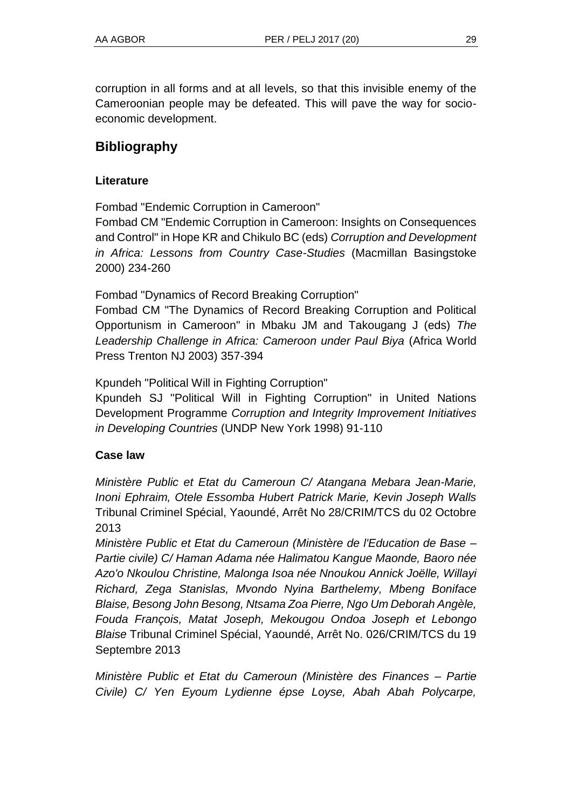corruption in all forms and at all levels, so that this invisible enemy of the Cameroonian people may be defeated. This will pave the way for socioeconomic development.

## **Bibliography**

## **Literature**

Fombad "Endemic Corruption in Cameroon"

Fombad CM "Endemic Corruption in Cameroon: Insights on Consequences and Control" in Hope KR and Chikulo BC (eds) *Corruption and Development in Africa: Lessons from Country Case-Studies* (Macmillan Basingstoke 2000) 234-260

Fombad "Dynamics of Record Breaking Corruption"

Fombad CM "The Dynamics of Record Breaking Corruption and Political Opportunism in Cameroon" in Mbaku JM and Takougang J (eds) *The Leadership Challenge in Africa: Cameroon under Paul Biya* (Africa World Press Trenton NJ 2003) 357-394

Kpundeh "Political Will in Fighting Corruption"

Kpundeh SJ "Political Will in Fighting Corruption" in United Nations Development Programme *Corruption and Integrity Improvement Initiatives in Developing Countries* (UNDP New York 1998) 91-110

## **Case law**

*Ministère Public et Etat du Cameroun C/ Atangana Mebara Jean-Marie, Inoni Ephraim, Otele Essomba Hubert Patrick Marie, Kevin Joseph Walls* Tribunal Criminel Spécial, Yaoundé, Arrêt No 28/CRIM/TCS du 02 Octobre 2013

*Ministère Public et Etat du Cameroun (Ministère de l'Education de Base – Partie civile) C/ Haman Adama née Halimatou Kangue Maonde, Baoro née Azo'o Nkoulou Christine, Malonga Isoa née Nnoukou Annick Joëlle, Willayi Richard, Zega Stanislas, Mvondo Nyina Barthelemy, Mbeng Boniface Blaise, Besong John Besong, Ntsama Zoa Pierre, Ngo Um Deborah Angèle, Fouda François, Matat Joseph, Mekougou Ondoa Joseph et Lebongo Blaise* Tribunal Criminel Spécial, Yaoundé, Arrêt No. 026/CRIM/TCS du 19 Septembre 2013

*Ministère Public et Etat du Cameroun (Ministère des Finances – Partie Civile) C/ Yen Eyoum Lydienne épse Loyse, Abah Abah Polycarpe,*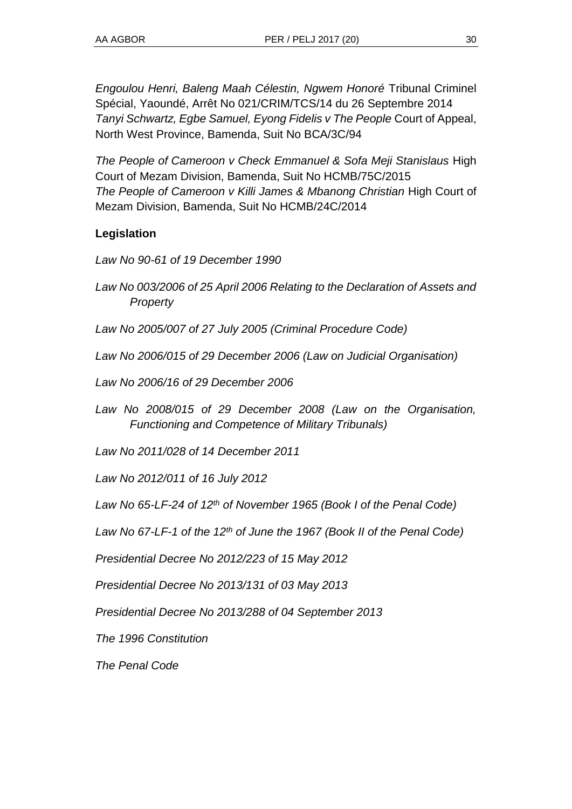*Engoulou Henri, Baleng Maah Célestin, Ngwem Honoré* Tribunal Criminel Spécial, Yaoundé, Arrêt No 021/CRIM/TCS/14 du 26 Septembre 2014 *Tanyi Schwartz, Egbe Samuel, Eyong Fidelis v The People* Court of Appeal, North West Province, Bamenda, Suit No BCA/3C/94

*The People of Cameroon v Check Emmanuel & Sofa Meji Stanislaus* High Court of Mezam Division, Bamenda, Suit No HCMB/75C/2015 *The People of Cameroon v Killi James & Mbanong Christian* High Court of Mezam Division, Bamenda, Suit No HCMB/24C/2014

## **Legislation**

*Law No 90-61 of 19 December 1990* 

- *Law No 003/2006 of 25 April 2006 Relating to the Declaration of Assets and Property*
- *Law No 2005/007 of 27 July 2005 (Criminal Procedure Code)*
- *Law No 2006/015 of 29 December 2006 (Law on Judicial Organisation)*

*Law No 2006/16 of 29 December 2006*

*Law No 2008/015 of 29 December 2008 (Law on the Organisation, Functioning and Competence of Military Tribunals)*

*Law No 2011/028 of 14 December 2011*

*Law No 2012/011 of 16 July 2012*

*Law No 65-LF-24 of 12th of November 1965 (Book I of the Penal Code)* 

*Law No 67-LF-1 of the 12th of June the 1967 (Book II of the Penal Code)*

*Presidential Decree No 2012/223 of 15 May 2012*

*Presidential Decree No 2013/131 of 03 May 2013*

*Presidential Decree No 2013/288 of 04 September 2013*

*The 1996 Constitution*

*The Penal Code*